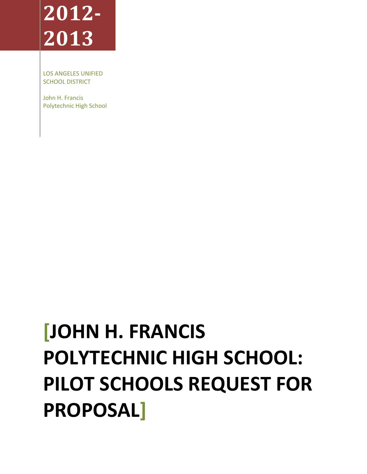# **2012 2013**

LOS ANGELES UNIFIED SCHOOL DISTRICT

John H. Francis Polytechnic High School

# **[JOHN H. FRANCIS POLYTECHNIC HIGH SCHOOL: PILOT SCHOOLS REQUEST FOR PROPOSAL]**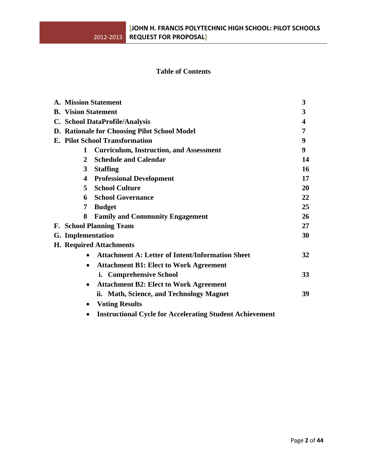## **Table of Contents**

|                                       |                                                                 | 3                                                                                                                                                                                                                                           |  |
|---------------------------------------|-----------------------------------------------------------------|---------------------------------------------------------------------------------------------------------------------------------------------------------------------------------------------------------------------------------------------|--|
|                                       |                                                                 | 3                                                                                                                                                                                                                                           |  |
|                                       |                                                                 | 4                                                                                                                                                                                                                                           |  |
|                                       |                                                                 | 7                                                                                                                                                                                                                                           |  |
| <b>E. Pilot School Transformation</b> |                                                                 |                                                                                                                                                                                                                                             |  |
| 1                                     | <b>Curriculum, Instruction, and Assessment</b>                  | 9                                                                                                                                                                                                                                           |  |
| 2                                     | <b>Schedule and Calendar</b>                                    | 14                                                                                                                                                                                                                                          |  |
| 3                                     | <b>Staffing</b>                                                 | 16                                                                                                                                                                                                                                          |  |
| 4                                     | <b>Professional Development</b>                                 | 17                                                                                                                                                                                                                                          |  |
| 5.                                    | <b>School Culture</b>                                           | 20                                                                                                                                                                                                                                          |  |
| 6                                     | <b>School Governance</b>                                        | 22                                                                                                                                                                                                                                          |  |
| 7                                     | <b>Budget</b>                                                   | 25                                                                                                                                                                                                                                          |  |
| 8                                     | <b>Family and Community Engagement</b>                          | 26                                                                                                                                                                                                                                          |  |
|                                       |                                                                 | 27                                                                                                                                                                                                                                          |  |
|                                       |                                                                 | 30                                                                                                                                                                                                                                          |  |
|                                       |                                                                 |                                                                                                                                                                                                                                             |  |
|                                       | <b>Attachment A: Letter of Intent/Information Sheet</b>         | 32                                                                                                                                                                                                                                          |  |
| $\bullet$                             | <b>Attachment B1: Elect to Work Agreement</b>                   |                                                                                                                                                                                                                                             |  |
|                                       | i. Comprehensive School                                         | 33                                                                                                                                                                                                                                          |  |
|                                       | <b>Attachment B2: Elect to Work Agreement</b>                   |                                                                                                                                                                                                                                             |  |
|                                       | ii. Math, Science, and Technology Magnet                        | 39                                                                                                                                                                                                                                          |  |
| $\bullet$                             | <b>Voting Results</b>                                           |                                                                                                                                                                                                                                             |  |
|                                       | <b>Instructional Cycle for Accelerating Student Achievement</b> |                                                                                                                                                                                                                                             |  |
|                                       |                                                                 | <b>A. Mission Statement</b><br><b>B.</b> Vision Statement<br>C. School DataProfile/Analysis<br>D. Rationale for Choosing Pilot School Model<br><b>F. School Planning Team</b><br><b>G.</b> Implementation<br><b>H. Required Attachments</b> |  |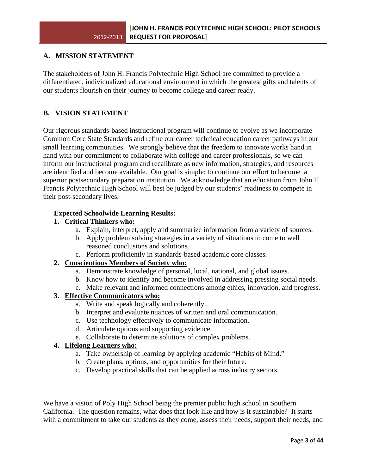## **A. MISSION STATEMENT**

The stakeholders of John H. Francis Polytechnic High School are committed to provide a differentiated, individualized educational environment in which the greatest gifts and talents of our students flourish on their journey to become college and career ready.

## **B. VISION STATEMENT**

Our rigorous standards-based instructional program will continue to evolve as we incorporate Common Core State Standards and refine our career technical education career pathways in our small learning communities. We strongly believe that the freedom to innovate works hand in hand with our commitment to collaborate with college and career professionals, so we can inform our instructional program and recalibrate as new information, strategies, and resources are identified and become available. Our goal is simple: to continue our effort to become a superior postsecondary preparation institution. We acknowledge that an education from John H. Francis Polytechnic High School will best be judged by our students' readiness to compete in their post-secondary lives.

## **Expected Schoolwide Learning Results:**

## **1. Critical Thinkers who:**

- a. Explain, interpret, apply and summarize information from a variety of sources.
- b. Apply problem solving strategies in a variety of situations to come to well reasoned conclusions and solutions.
- c. Perform proficiently in standards-based academic core classes.

## **2. Conscientious Members of Society who:**

- a. Demonstrate knowledge of personal, local, national, and global issues.
- b. Know how to identify and become involved in addressing pressing social needs.
- c. Make relevant and informed connections among ethics, innovation, and progress.

## **3. Effective Communicators who:**

- a. Write and speak logically and coherently.
- b. Interpret and evaluate nuances of written and oral communication.
- c. Use technology effectively to communicate information.
- d. Articulate options and supporting evidence.
- e. Collaborate to determine solutions of complex problems.

## **4. Lifelong Learners who:**

- a. Take ownership of learning by applying academic "Habits of Mind."
- b. Create plans, options, and opportunities for their future.
- c. Develop practical skills that can be applied across industry sectors.

We have a vision of Poly High School being the premier public high school in Southern California. The question remains, what does that look like and how is it sustainable? It starts with a commitment to take our students as they come, assess their needs, support their needs, and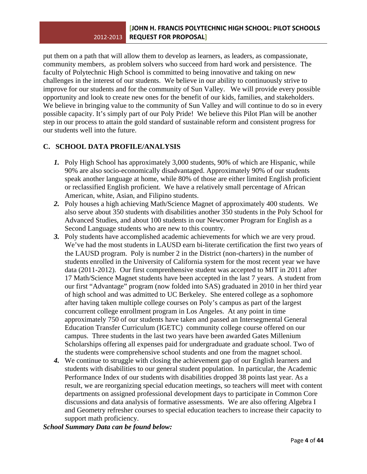put them on a path that will allow them to develop as learners, as leaders, as compassionate, community members, as problem solvers who succeed from hard work and persistence. The faculty of Polytechnic High School is committed to being innovative and taking on new challenges in the interest of our students. We believe in our ability to continuously strive to improve for our students and for the community of Sun Valley. We will provide every possible opportunity and look to create new ones for the benefit of our kids, families, and stakeholders. We believe in bringing value to the community of Sun Valley and will continue to do so in every possible capacity. It's simply part of our Poly Pride! We believe this Pilot Plan will be another step in our process to attain the gold standard of sustainable reform and consistent progress for our students well into the future.

## **C. SCHOOL DATA PROFILE/ANALYSIS**

- *1.* Poly High School has approximately 3,000 students, 90% of which are Hispanic, while 90% are also socio-economically disadvantaged. Approximately 90% of our students speak another language at home, while 80% of those are either limited English proficient or reclassified English proficient. We have a relatively small percentage of African American, white, Asian, and Filipino students.
- *2.* Poly houses a high achieving Math/Science Magnet of approximately 400 students. We also serve about 350 students with disabilities another 350 students in the Poly School for Advanced Studies, and about 100 students in our Newcomer Program for English as a Second Language students who are new to this country.
- *3.* Poly students have accomplished academic achievements for which we are very proud. We've had the most students in LAUSD earn bi-literate certification the first two years of the LAUSD program. Poly is number 2 in the District (non-charters) in the number of students enrolled in the University of California system for the most recent year we have data (2011-2012). Our first comprenhensive student was accepted to MIT in 2011 after 17 Math/Science Magnet students have been accepted in the last 7 years. A student from our first "Advantage" program (now folded into SAS) graduated in 2010 in her third year of high school and was admitted to UC Berkeley. She entered college as a sophomore after having taken multiple college courses on Poly's campus as part of the largest concurrent college enrollment program in Los Angeles. At any point in time approximately 750 of our students have taken and passed an Intersegmental General Education Transfer Curriculum (IGETC) community college course offered on our campus. Three students in the last two years have been awarded Gates Millenium Scholarships offering all expenses paid for undergraduate and graduate school. Two of the students were comprehensive school students and one from the magnet school.
- *4.* We continue to struggle with closing the achievement gap of our English learners and students with disabilities to our general student population. In particular, the Academic Performance Index of our students with disabilities dropped 38 points last year. As a result, we are reorganizing special education meetings, so teachers will meet with content departments on assigned professional development days to participate in Common Core discussions and data analysis of formative assessments. We are also offering Algebra I and Geometry refresher courses to special education teachers to increase their capacity to support math proficiency.

*School Summary Data can be found below:*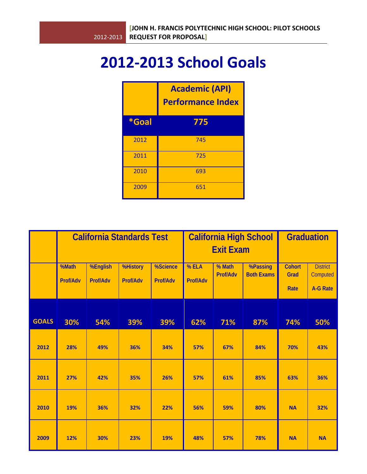## **2012‐2013 School Goals**

|       | <b>Academic (API)</b><br><b>Performance Index</b> |  |  |
|-------|---------------------------------------------------|--|--|
| *Goal | 775                                               |  |  |
| 2012  | 745                                               |  |  |
| 2011  | 725                                               |  |  |
| 2010  | 693                                               |  |  |
| 2009  | 651                                               |  |  |

|              | <b>California Standards Test</b> |                      |                             | <b>California High School</b><br><b>Exit Exam</b> |                   |                    | <b>Graduation</b>             |                               |                                                |
|--------------|----------------------------------|----------------------|-----------------------------|---------------------------------------------------|-------------------|--------------------|-------------------------------|-------------------------------|------------------------------------------------|
|              | %Math<br>Prof/Adv                | %English<br>Prof/Adv | <b>%History</b><br>Prof/Adv | %Science<br>Prof/Adv                              | % ELA<br>Prof/Adv | % Math<br>Prof/Adv | %Passing<br><b>Both Exams</b> | <b>Cohort</b><br>Grad<br>Rate | <b>District</b><br>Computed<br><b>A-G Rate</b> |
| <b>GOALS</b> | 30%                              | 54%                  | 39%                         | 39%                                               | 62%               | 71%                | 87%                           | 74%                           | 50%                                            |
| 2012         | 28%                              | 49%                  | 36%                         | 34%                                               | 57%               | 67%                | 84%                           | 70%                           | 43%                                            |
| 2011         | 27%                              | 42%                  | 35%                         | 26%                                               | 57%               | 61%                | 85%                           | 63%                           | 36%                                            |
| 2010         | 19%                              | 36%                  | 32%                         | 22%                                               | 56%               | 59%                | 80%                           | <b>NA</b>                     | 32%                                            |
| 2009         | 12%                              | 30%                  | 23%                         | 19%                                               | 48%               | 57%                | 78%                           | <b>NA</b>                     | <b>NA</b>                                      |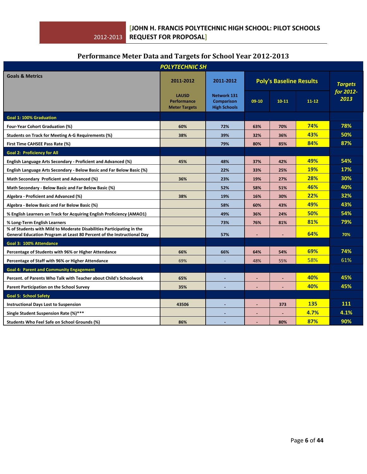## **Performance Meter Data and Targets for School Year 20122013**

|                                                                                                                                                 | <b>POLYTECHNIC SH</b>                               |                                                                |                                |           |                |                   |
|-------------------------------------------------------------------------------------------------------------------------------------------------|-----------------------------------------------------|----------------------------------------------------------------|--------------------------------|-----------|----------------|-------------------|
| <b>Goals &amp; Metrics</b>                                                                                                                      | 2011-2012                                           | 2011-2012                                                      | <b>Poly's Baseline Results</b> |           | <b>Targets</b> |                   |
|                                                                                                                                                 | <b>LAUSD</b><br>Performance<br><b>Meter Targets</b> | <b>Network 131</b><br><b>Comparison</b><br><b>High Schools</b> | $09-10$                        | $10 - 11$ | $11 - 12$      | for 2012-<br>2013 |
| <b>Goal 1: 100% Graduation</b>                                                                                                                  |                                                     |                                                                |                                |           |                |                   |
| Four-Year Cohort Graduation (%)                                                                                                                 | 60%                                                 | 72%                                                            | 63%                            | 70%       | 74%            | 78%               |
| Students on Track for Meeting A-G Requirements (%)                                                                                              | 38%                                                 | 39%                                                            | 32%                            | 36%       | 43%            | 50%               |
| First Time CAHSEE Pass Rate (%)                                                                                                                 |                                                     | 79%                                                            | 80%                            | 85%       | 84%            | 87%               |
| <b>Goal 2: Proficiency for All</b>                                                                                                              |                                                     |                                                                |                                |           |                |                   |
| English Language Arts Secondary - Proficient and Advanced (%)                                                                                   | 45%                                                 | 48%                                                            | 37%                            | 42%       | 49%            | 54%               |
| English Language Arts Secondary - Below Basic and Far Below Basic (%)                                                                           |                                                     | 22%                                                            | 33%                            | 25%       | 19%            | 17%               |
| Math Secondary Proficient and Advanced (%)                                                                                                      | 36%                                                 | 23%                                                            | 19%                            | 27%       | 28%            | 30%               |
| Math Secondary - Below Basic and Far Below Basic (%)                                                                                            |                                                     | 52%                                                            | 58%                            | 51%       | 46%            | 40%               |
| Algebra - Proficient and Advanced (%)                                                                                                           | 38%                                                 | 19%                                                            | 16%                            | 30%       | 22%            | 32%               |
| Algebra - Below Basic and Far Below Basic (%)                                                                                                   |                                                     | 58%                                                            | 60%                            | 43%       | 49%            | 43%               |
| % English Learners on Track for Acquiring English Proficiency (AMAO1)                                                                           |                                                     | 49%                                                            | 36%                            | 24%       | 50%            | 54%               |
| % Long-Term English Learners                                                                                                                    |                                                     | 73%                                                            | 76%                            | 81%       | 81%            | 79%               |
| % of Students with Mild to Moderate Disabilities Participating in the<br>General Education Program at Least 80 Percent of the Instructional Day |                                                     | 57%                                                            |                                |           | 64%            | 70%               |
| Goal 3: 100% Attendance                                                                                                                         |                                                     |                                                                |                                |           |                |                   |
| Percentage of Students with 96% or Higher Attendance                                                                                            | 66%                                                 | 66%                                                            | 64%                            | 54%       | 69%            | 74%               |
| Percentage of Staff with 96% or Higher Attendance                                                                                               | 69%                                                 | $\equiv$                                                       | 48%                            | 55%       | 58%            | 61%               |
| <b>Goal 4: Parent and Community Engagement</b>                                                                                                  |                                                     |                                                                |                                |           |                |                   |
| Percent, of Parents Who Talk with Teacher about Child's Schoolwork                                                                              | 65%                                                 |                                                                | $\blacksquare$                 | $\sim$    | 40%            | 45%               |
| Parent Participation on the School Survey                                                                                                       | 35%                                                 |                                                                |                                |           | 40%            | 45%               |
| <b>Goal 5: School Safety</b>                                                                                                                    |                                                     |                                                                |                                |           |                |                   |
| <b>Instructional Days Lost to Suspension</b>                                                                                                    | 43506                                               |                                                                | ٠                              | 373       | <b>135</b>     | 111               |
| Single Student Suspension Rate (%)***                                                                                                           |                                                     |                                                                | ä,                             |           | 4.7%           | 4.1%              |
| Students Who Feel Safe on School Grounds (%)                                                                                                    | 86%                                                 |                                                                |                                | 80%       | 87%            | 90%               |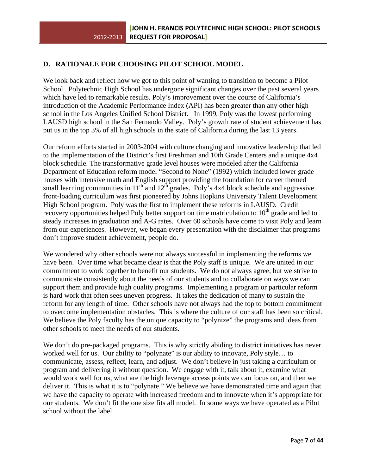## **D. RATIONALE FOR CHOOSING PILOT SCHOOL MODEL**

We look back and reflect how we got to this point of wanting to transition to become a Pilot School. Polytechnic High School has undergone significant changes over the past several years which have led to remarkable results. Poly's improvement over the course of California's introduction of the Academic Performance Index (API) has been greater than any other high school in the Los Angeles Unified School District. In 1999, Poly was the lowest performing LAUSD high school in the San Fernando Valley. Poly's growth rate of student achievement has put us in the top 3% of all high schools in the state of California during the last 13 years.

Our reform efforts started in 2003-2004 with culture changing and innovative leadership that led to the implementation of the District's first Freshman and 10th Grade Centers and a unique 4x4 block schedule. The transformative grade level houses were modeled after the California Department of Education reform model "Second to None" (1992) which included lower grade houses with intensive math and English support providing the foundation for career themed small learning communities in  $11<sup>th</sup>$  and  $12<sup>th</sup>$  grades. Poly's 4x4 block schedule and aggressive front-loading curriculum was first pioneered by Johns Hopkins University Talent Development High School program. Poly was the first to implement these reforms in LAUSD. Credit recovery opportunities helped Poly better support on time matriculation to  $10<sup>th</sup>$  grade and led to steady increases in graduation and A-G rates. Over 60 schools have come to visit Poly and learn from our experiences. However, we began every presentation with the disclaimer that programs don't improve student achievement, people do.

We wondered why other schools were not always successful in implementing the reforms we have been. Over time what became clear is that the Poly staff is unique. We are united in our commitment to work together to benefit our students. We do not always agree, but we strive to communicate consistently about the needs of our students and to collaborate on ways we can support them and provide high quality programs. Implementing a program or particular reform is hard work that often sees uneven progress. It takes the dedication of many to sustain the reform for any length of time. Other schools have not always had the top to bottom commitment to overcome implementation obstacles. This is where the culture of our staff has been so critical. We believe the Poly faculty has the unique capacity to "polynize" the programs and ideas from other schools to meet the needs of our students.

We don't do pre-packaged programs. This is why strictly abiding to district initiatives has never worked well for us. Our ability to "polynate" is our ability to innovate, Poly style… to communicate, assess, reflect, learn, and adjust. We don't believe in just taking a curriculum or program and delivering it without question. We engage with it, talk about it, examine what would work well for us, what are the high leverage access points we can focus on, and then we deliver it. This is what it is to "polynate." We believe we have demonstrated time and again that we have the capacity to operate with increased freedom and to innovate when it's appropriate for our students. We don't fit the one size fits all model. In some ways we have operated as a Pilot school without the label.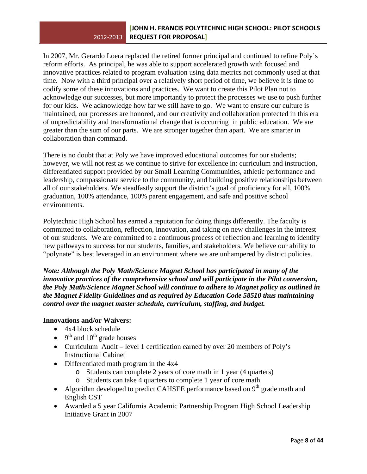## 2012‐2013 **REQUEST FOR PROPOSAL] [JOHN H. FRANCIS POLYTECHNIC HIGH SCHOOL: PILOT SCHOOLS**

In 2007, Mr. Gerardo Loera replaced the retired former principal and continued to refine Poly's reform efforts. As principal, he was able to support accelerated growth with focused and innovative practices related to program evaluation using data metrics not commonly used at that time. Now with a third principal over a relatively short period of time, we believe it is time to codify some of these innovations and practices. We want to create this Pilot Plan not to acknowledge our successes, but more importantly to protect the processes we use to push further for our kids. We acknowledge how far we still have to go. We want to ensure our culture is maintained, our processes are honored, and our creativity and collaboration protected in this era of unpredictability and transformational change that is occurring in public education. We are greater than the sum of our parts. We are stronger together than apart. We are smarter in collaboration than command.

There is no doubt that at Poly we have improved educational outcomes for our students; however, we will not rest as we continue to strive for excellence in: curriculum and instruction, differentiated support provided by our Small Learning Communities, athletic performance and leadership, compassionate service to the community, and building positive relationships between all of our stakeholders. We steadfastly support the district's goal of proficiency for all, 100% graduation, 100% attendance, 100% parent engagement, and safe and positive school environments.

Polytechnic High School has earned a reputation for doing things differently. The faculty is committed to collaboration, reflection, innovation, and taking on new challenges in the interest of our students. We are committed to a continuous process of reflection and learning to identify new pathways to success for our students, families, and stakeholders. We believe our ability to "polynate" is best leveraged in an environment where we are unhampered by district policies.

*Note: Although the Poly Math/Science Magnet School has participated in many of the innovative practices of the comprehensive school and will participate in the Pilot conversion, the Poly Math/Science Magnet School will continue to adhere to Magnet policy as outlined in the Magnet Fidelity Guidelines and as required by Education Code 58510 thus maintaining control over the magnet master schedule, curriculum, staffing, and budget.* 

## **Innovations and/or Waivers:**

- 4x4 block schedule
- $9^{th}$  and  $10^{th}$  grade houses
- Curriculum Audit level 1 certification earned by over 20 members of Poly's Instructional Cabinet
- Differentiated math program in the 4x4
	- o Students can complete 2 years of core math in 1 year (4 quarters)
	- o Students can take 4 quarters to complete 1 year of core math
- Algorithm developed to predict CAHSEE performance based on  $9<sup>th</sup>$  grade math and English CST
- Awarded a 5 year California Academic Partnership Program High School Leadership Initiative Grant in 2007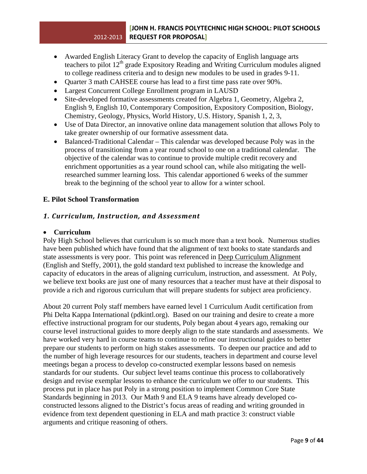- Awarded English Literacy Grant to develop the capacity of English language arts teachers to pilot 12<sup>th</sup> grade Expository Reading and Writing Curriculum modules aligned to college readiness criteria and to design new modules to be used in grades 9-11.
- Quarter 3 math CAHSEE course has lead to a first time pass rate over 90%.
- Largest Concurrent College Enrollment program in LAUSD
- Site-developed formative assessments created for Algebra 1, Geometry, Algebra 2, English 9, English 10, Contemporary Composition, Expository Composition, Biology, Chemistry, Geology, Physics, World History, U.S. History, Spanish 1, 2, 3,
- Use of Data Director, an innovative online data management solution that allows Poly to take greater ownership of our formative assessment data.
- Balanced-Traditional Calendar This calendar was developed because Poly was in the process of transitioning from a year round school to one on a traditional calendar. The objective of the calendar was to continue to provide multiple credit recovery and enrichment opportunities as a year round school can, while also mitigating the wellresearched summer learning loss. This calendar apportioned 6 weeks of the summer break to the beginning of the school year to allow for a winter school.

## **E. Pilot School Transformation**

## *1. Curriculum, Instruction, and Assessment*

## • **Curriculum**

Poly High School believes that curriculum is so much more than a text book. Numerous studies have been published which have found that the alignment of text books to state standards and state assessments is very poor. This point was referenced in Deep Curriculum Alignment (English and Steffy, 2001), the gold standard text published to increase the knowledge and capacity of educators in the areas of aligning curriculum, instruction, and assessment. At Poly, we believe text books are just one of many resources that a teacher must have at their disposal to provide a rich and rigorous curriculum that will prepare students for subject area proficiency.

About 20 current Poly staff members have earned level 1 Curriculum Audit certification from Phi Delta Kappa International (pdkintl.org). Based on our training and desire to create a more effective instructional program for our students, Poly began about 4 years ago, remaking our course level instructional guides to more deeply align to the state standards and assessments. We have worked very hard in course teams to continue to refine our instructional guides to better prepare our students to perform on high stakes assessments. To deepen our practice and add to the number of high leverage resources for our students, teachers in department and course level meetings began a process to develop co-constructed exemplar lessons based on nemesis standards for our students. Our subject level teams continue this process to collaboratively design and revise exemplar lessons to enhance the curriculum we offer to our students. This process put in place has put Poly in a strong position to implement Common Core State Standards beginning in 2013. Our Math 9 and ELA 9 teams have already developed coconstructed lessons aligned to the District's focus areas of reading and writing grounded in evidence from text dependent questioning in ELA and math practice 3: construct viable arguments and critique reasoning of others.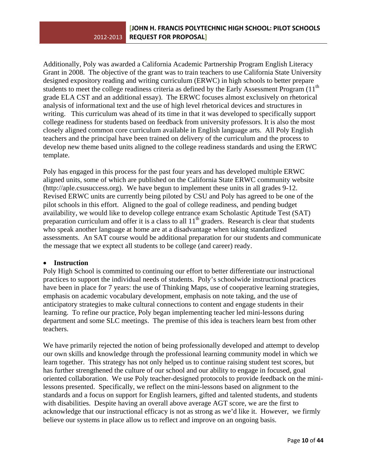Additionally, Poly was awarded a California Academic Partnership Program English Literacy Grant in 2008. The objective of the grant was to train teachers to use California State University designed expository reading and writing curriculum (ERWC) in high schools to better prepare students to meet the college readiness criteria as defined by the Early Assessment Program (11<sup>th</sup>) grade ELA CST and an additional essay). The ERWC focuses almost exclusively on rhetorical analysis of informational text and the use of high level rhetorical devices and structures in writing. This curriculum was ahead of its time in that it was developed to specifically support college readiness for students based on feedback from university professors. It is also the most closely aligned common core curriculum available in English language arts. All Poly English teachers and the principal have been trained on delivery of the curriculum and the process to develop new theme based units aligned to the college readiness standards and using the ERWC template.

Poly has engaged in this process for the past four years and has developed multiple ERWC aligned units, some of which are published on the California State ERWC community website (http://aple.csusuccess.org). We have begun to implement these units in all grades 9-12. Revised ERWC units are currently being piloted by CSU and Poly has agreed to be one of the pilot schools in this effort. Aligned to the goal of college readiness, and pending budget availability, we would like to develop college entrance exam Scholastic Aptitude Test (SAT) preparation curriculum and offer it is a class to all  $11<sup>th</sup>$  graders. Research is clear that students who speak another language at home are at a disadvantage when taking standardized assessments. An SAT course would be additional preparation for our students and communicate the message that we exptect all students to be college (and career) ready.

## • **Instruction**

Poly High School is committed to continuing our effort to better differentiate our instructional practices to support the individual needs of students. Poly's schoolwide instructional practices have been in place for 7 years: the use of Thinking Maps, use of cooperative learning strategies, emphasis on academic vocabulary development, emphasis on note taking, and the use of anticipatory strategies to make cultural connections to content and engage students in their learning. To refine our practice, Poly began implementing teacher led mini-lessons during department and some SLC meetings. The premise of this idea is teachers learn best from other teachers.

We have primarily rejected the notion of being professionally developed and attempt to develop our own skills and knowledge through the professional learning community model in which we learn together. This strategy has not only helped us to continue raising student test scores, but has further strengthened the culture of our school and our ability to engage in focused, goal oriented collaboration. We use Poly teacher-designed protocols to provide feedback on the minilessons presented. Specifically, we reflect on the mini-lessons based on alignment to the standards and a focus on support for English learners, gifted and talented students, and students with disabilities. Despite having an overall above average AGT score, we are the first to acknowledge that our instructional efficacy is not as strong as we'd like it. However, we firmly believe our systems in place allow us to reflect and improve on an ongoing basis.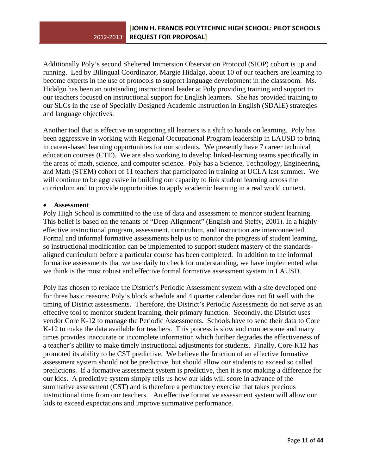Additionally Poly's second Sheltered Immersion Observation Protocol (SIOP) cohort is up and running. Led by Bilingual Coordinator, Margie Hidalgo, about 10 of our teachers are learning to become experts in the use of protocols to support language development in the classroom. Ms. Hidalgo has been an outstanding instructional leader at Poly providing training and support to our teachers focused on instructional support for English learners. She has provided training to our SLCs in the use of Specially Designed Academic Instruction in English (SDAIE) strategies and language objectives.

Another tool that is effective in supporting all learners is a shift to hands on learning. Poly has been aggressive in working with Regional Occupational Program leadership in LAUSD to bring in career-based learning opportunities for our students. We presently have 7 career technical education courses (CTE). We are also working to develop linked-learning teams specifically in the areas of math, science, and computer science. Poly has a Science, Technology, Engineering, and Math (STEM) cohort of 11 teachers that participated in training at UCLA last summer. We will continue to be aggressive in building our capacity to link student learning across the curriculum and to provide opportunities to apply academic learning in a real world context.

## • **Assessment**

Poly High School is committed to the use of data and assessment to monitor student learning. This belief is based on the tenants of "Deep Alignment" (English and Steffy, 2001). In a highly effective instructional program, assessment, curriculum, and instruction are interconnected. Formal and informal formative assessments help us to monitor the progress of student learning, so instructional modification can be implemented to support student mastery of the standardsaligned curriculum before a particular course has been completed. In addition to the informal formative assessments that we use daily to check for understanding, we have implemented what we think is the most robust and effective formal formative assessment system in LAUSD.

Poly has chosen to replace the District's Periodic Assessment system with a site developed one for three basic reasons: Poly's block schedule and 4 quarter calendar does not fit well with the timing of District assessments. Therefore, the District's Periodic Assessments do not serve as an effective tool to monitor student learning, their primary function. Secondly, the District uses vendor Core K-12 to manage the Periodic Assessments. Schools have to send their data to Core K-12 to make the data available for teachers. This process is slow and cumbersome and many times provides inaccurate or incomplete information which further degrades the effectiveness of a teacher's ability to make timely instructional adjustments for students. Finally, Core-K12 has promoted its ability to be CST predictive. We believe the function of an effective formative assessment system should not be predictive, but should allow our students to exceed so called predictions. If a formative assessment system is predictive, then it is not making a difference for our kids. A predictive system simply tells us how our kids will score in advance of the summative assessment (CST) and is therefore a perfunctory exercise that takes precious instructional time from our teachers. An effective formative assessment system will allow our kids to exceed expectations and improve summative performance.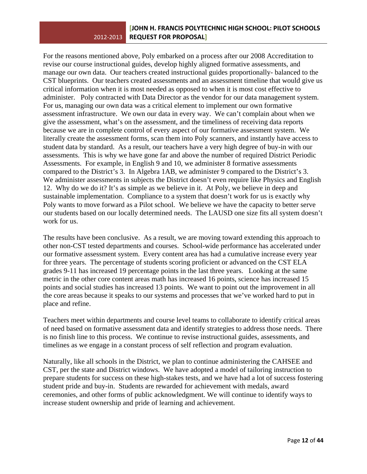For the reasons mentioned above, Poly embarked on a process after our 2008 Accreditation to revise our course instructional guides, develop highly aligned formative assessments, and manage our own data. Our teachers created instructional guides proportionally- balanced to the CST blueprints. Our teachers created assessments and an assessment timeline that would give us critical information when it is most needed as opposed to when it is most cost effective to administer. Poly contracted with Data Director as the vendor for our data management system. For us, managing our own data was a critical element to implement our own formative assessment infrastructure. We own our data in every way. We can't complain about when we give the assessment, what's on the assessment, and the timeliness of receiving data reports because we are in complete control of every aspect of our formative assessment system. We literally create the assessment forms, scan them into Poly scanners, and instantly have access to student data by standard. As a result, our teachers have a very high degree of buy-in with our assessments. This is why we have gone far and above the number of required District Periodic Assessments. For example, in English 9 and 10, we administer 8 formative assessments compared to the District's 3. In Algebra 1AB, we administer 9 compared to the District's 3. We administer assessments in subjects the District doesn't even require like Physics and English 12. Why do we do it? It's as simple as we believe in it. At Poly, we believe in deep and sustainable implementation. Compliance to a system that doesn't work for us is exactly why Poly wants to move forward as a Pilot school. We believe we have the capacity to better serve our students based on our locally determined needs. The LAUSD one size fits all system doesn't work for us.

The results have been conclusive. As a result, we are moving toward extending this approach to other non-CST tested departments and courses. School-wide performance has accelerated under our formative assessment system. Every content area has had a cumulative increase every year for three years. The percentage of students scoring proficient or advanced on the CST ELA grades 9-11 has increased 19 percentage points in the last three years. Looking at the same metric in the other core content areas math has increased 16 points, science has increased 15 points and social studies has increased 13 points. We want to point out the improvement in all the core areas because it speaks to our systems and processes that we've worked hard to put in place and refine.

Teachers meet within departments and course level teams to collaborate to identify critical areas of need based on formative assessment data and identify strategies to address those needs. There is no finish line to this process. We continue to revise instructional guides, assessments, and timelines as we engage in a constant process of self reflection and program evaluation.

Naturally, like all schools in the District, we plan to continue administering the CAHSEE and CST, per the state and District windows. We have adopted a model of tailoring instruction to prepare students for success on these high-stakes tests, and we have had a lot of success fostering student pride and buy-in. Students are rewarded for achievement with medals, award ceremonies, and other forms of public acknowledgment. We will continue to identify ways to increase student ownership and pride of learning and achievement.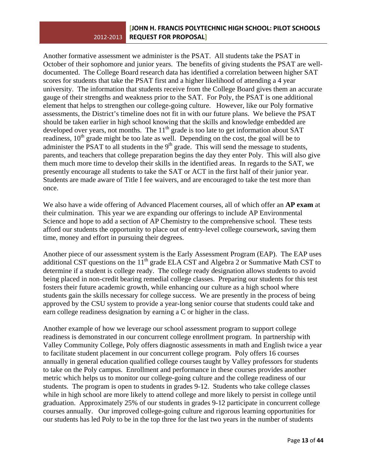Another formative assessment we administer is the PSAT. All students take the PSAT in October of their sophomore and junior years. The benefits of giving students the PSAT are welldocumented. The College Board research data has identified a correlation between higher SAT scores for students that take the PSAT first and a higher likelihood of attending a 4 year university. The information that students receive from the College Board gives them an accurate gauge of their strengths and weakness prior to the SAT. For Poly, the PSAT is one additional element that helps to strengthen our college-going culture. However, like our Poly formative assessments, the District's timeline does not fit in with our future plans. We believe the PSAT should be taken earlier in high school knowing that the skills and knowledge embedded are developed over years, not months. The  $11<sup>th</sup>$  grade is too late to get information about SAT readiness,  $10^{th}$  grade might be too late as well. Depending on the cost, the goal will be to administer the PSAT to all students in the  $9<sup>th</sup>$  grade. This will send the message to students, parents, and teachers that college preparation begins the day they enter Poly. This will also give them much more time to develop their skills in the identified areas. In regards to the SAT, we presently encourage all students to take the SAT or ACT in the first half of their junior year. Students are made aware of Title I fee waivers, and are encouraged to take the test more than once.

We also have a wide offering of Advanced Placement courses, all of which offer an **AP exam** at their culmination. This year we are expanding our offerings to include AP Environmental Science and hope to add a section of AP Chemistry to the comprehensive school. These tests afford our students the opportunity to place out of entry-level college coursework, saving them time, money and effort in pursuing their degrees.

Another piece of our assessment system is the Early Assessment Program (EAP). The EAP uses additional CST questions on the  $11^{th}$  grade ELA CST and Algebra 2 or Summative Math CST to determine if a student is college ready. The college ready designation allows students to avoid being placed in non-credit bearing remedial college classes. Preparing our students for this test fosters their future academic growth, while enhancing our culture as a high school where students gain the skills necessary for college success. We are presently in the process of being approved by the CSU system to provide a year-long senior course that students could take and earn college readiness designation by earning a C or higher in the class.

Another example of how we leverage our school assessment program to support college readiness is demonstrated in our concurrent college enrollment program. In partnership with Valley Community College, Poly offers diagnostic assessments in math and English twice a year to facilitate student placement in our concurrent college program. Poly offers 16 courses annually in general education qualified college courses taught by Valley professors for students to take on the Poly campus. Enrollment and performance in these courses provides another metric which helps us to monitor our college-going culture and the college readiness of our students. The program is open to students in grades 9-12. Students who take college classes while in high school are more likely to attend college and more likely to persist in college until graduation. Approximately 25% of our students in grades 9-12 participate in concurrent college courses annually. Our improved college-going culture and rigorous learning opportunities for our students has led Poly to be in the top three for the last two years in the number of students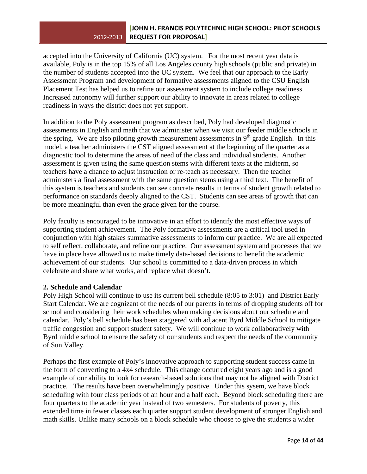accepted into the University of California (UC) system. For the most recent year data is available, Poly is in the top 15% of all Los Angeles county high schools (public and private) in the number of students accepted into the UC system. We feel that our approach to the Early Assessment Program and development of formative assessments aligned to the CSU English Placement Test has helped us to refine our assessment system to include college readiness. Increased autonomy will further support our ability to innovate in areas related to college readiness in ways the district does not yet support.

In addition to the Poly assessment program as described, Poly had developed diagnostic assessments in English and math that we administer when we visit our feeder middle schools in the spring. We are also piloting growth measurement assessments in  $9<sup>th</sup>$  grade English. In this model, a teacher administers the CST aligned assessment at the beginning of the quarter as a diagnostic tool to determine the areas of need of the class and individual students. Another assessment is given using the same question stems with different texts at the midterm, so teachers have a chance to adjust instruction or re-teach as necessary. Then the teacher administers a final assessment with the same question stems using a third text. The benefit of this system is teachers and students can see concrete results in terms of student growth related to performance on standards deeply aligned to the CST. Students can see areas of growth that can be more meaningful than even the grade given for the course.

Poly faculty is encouraged to be innovative in an effort to identify the most effective ways of supporting student achievement. The Poly formative assessments are a critical tool used in conjunction with high stakes summative assessments to inform our practice. We are all expected to self reflect, collaborate, and refine our practice. Our assessment system and processes that we have in place have allowed us to make timely data-based decisions to benefit the academic achievement of our students. Our school is committed to a data-driven process in which celebrate and share what works, and replace what doesn't.

## **2. Schedule and Calendar**

Poly High School will continue to use its current bell schedule (8:05 to 3:01) and District Early Start Calendar. We are cognizant of the needs of our parents in terms of dropping students off for school and considering their work schedules when making decisions about our schedule and calendar. Poly's bell schedule has been staggered with adjacent Byrd Middle School to mitigate traffic congestion and support student safety. We will continue to work collaboratively with Byrd middle school to ensure the safety of our students and respect the needs of the community of Sun Valley.

Perhaps the first example of Poly's innovative approach to supporting student success came in the form of converting to a 4x4 schedule. This change occurred eight years ago and is a good example of our ability to look for research-based solutions that may not be aligned with District practice. The results have been overwhelmingly positive. Under this sysem, we have block scheduling with four class periods of an hour and a half each. Beyond block scheduling there are four quarters to the academic year instead of two semesters. For students of poverty, this extended time in fewer classes each quarter support student development of stronger English and math skills. Unlike many schools on a block schedule who choose to give the students a wider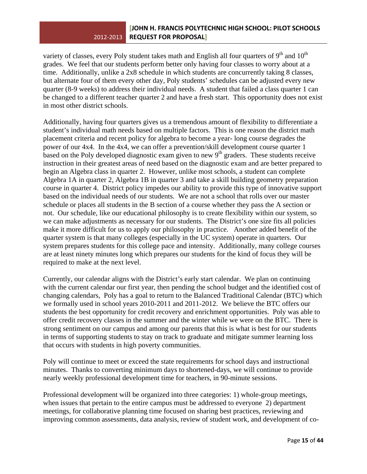variety of classes, every Poly student takes math and English all four quarters of  $9<sup>th</sup>$  and  $10<sup>th</sup>$ grades. We feel that our students perform better only having four classes to worry about at a time. Additionally, unlike a 2x8 schedule in which students are concurrently taking 8 classes, but alternate four of them every other day, Poly students' schedules can be adjusted every new quarter (8-9 weeks) to address their individual needs. A student that failed a class quarter 1 can be changed to a different teacher quarter 2 and have a fresh start. This opportunity does not exist in most other district schools.

Additionally, having four quarters gives us a tremendous amount of flexibility to differentiate a student's individual math needs based on multiple factors. This is one reason the district math placement criteria and recent policy for algebra to become a year- long course degrades the power of our 4x4. In the 4x4, we can offer a prevention/skill development course quarter 1 based on the Poly developed diagnostic exam given to new  $9<sup>th</sup>$  graders. These students receive instruction in their greatest areas of need based on the diagnostic exam and are better prepared to begin an Algebra class in quarter 2. However, unlike most schools, a student can complete Algebra 1A in quarter 2, Algebra 1B in quarter 3 and take a skill building geometry preparation course in quarter 4. District policy impedes our ability to provide this type of innovative support based on the individual needs of our students. We are not a school that rolls over our master schedule or places all students in the B section of a course whether they pass the A section or not. Our schedule, like our educational philosophy is to create flexibility within our system, so we can make adjustments as necessary for our students. The District's one size fits all policies make it more difficult for us to apply our philosophy in practice. Another added benefit of the quarter system is that many colleges (especially in the UC system) operate in quarters. Our system prepares students for this college pace and intensity. Additionally, many college courses are at least ninety minutes long which prepares our students for the kind of focus they will be required to make at the next level.

Currently, our calendar aligns with the District's early start calendar. We plan on continuing with the current calendar our first year, then pending the school budget and the identified cost of changing calendars, Poly has a goal to return to the Balanced Traditional Calendar (BTC) which we formally used in school years 2010-2011 and 2011-2012. We believe the BTC offers our students the best opportunity for credit recovery and enrichment opportunities. Poly was able to offer credit recovery classes in the summer and the winter while we were on the BTC. There is strong sentiment on our campus and among our parents that this is what is best for our students in terms of supporting students to stay on track to graduate and mitigate summer learning loss that occurs with students in high poverty communities.

Poly will continue to meet or exceed the state requirements for school days and instructional minutes. Thanks to converting minimum days to shortened-days, we will continue to provide nearly weekly professional development time for teachers, in 90-minute sessions.

Professional development will be organized into three categories: 1) whole-group meetings, when issues that pertain to the entire campus must be addressed to everyone 2) department meetings, for collaborative planning time focused on sharing best practices, reviewing and improving common assessments, data analysis, review of student work, and development of co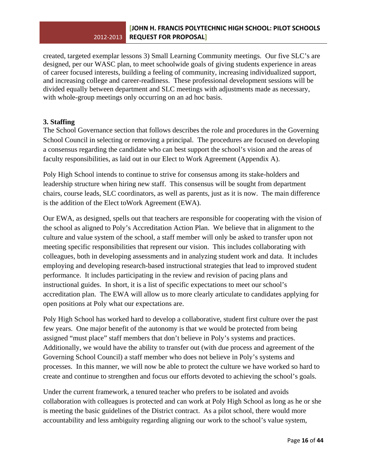created, targeted exemplar lessons 3) Small Learning Community meetings. Our five SLC's are designed, per our WASC plan, to meet schoolwide goals of giving students experience in areas of career focused interests, building a feeling of community, increasing individualized support, and increasing college and career-readiness. These professional development sessions will be divided equally between department and SLC meetings with adjustments made as necessary, with whole-group meetings only occurring on an ad hoc basis.

## **3. Staffing**

The School Governance section that follows describes the role and procedures in the Governing School Council in selecting or removing a principal. The procedures are focused on developing a consensus regarding the candidate who can best support the school's vision and the areas of faculty responsibilities, as laid out in our Elect to Work Agreement (Appendix A).

Poly High School intends to continue to strive for consensus among its stake-holders and leadership structure when hiring new staff. This consensus will be sought from department chairs, course leads, SLC coordinators, as well as parents, just as it is now. The main difference is the addition of the Elect toWork Agreement (EWA).

Our EWA, as designed, spells out that teachers are responsible for cooperating with the vision of the school as aligned to Poly's Accreditation Action Plan. We believe that in alignment to the culture and value system of the school, a staff member will only be asked to transfer upon not meeting specific responsibilities that represent our vision. This includes collaborating with colleagues, both in developing assessments and in analyzing student work and data. It includes employing and developing research-based instructional strategies that lead to improved student performance. It includes participating in the review and revision of pacing plans and instructional guides. In short, it is a list of specific expectations to meet our school's accreditation plan. The EWA will allow us to more clearly articulate to candidates applying for open positions at Poly what our expectations are.

Poly High School has worked hard to develop a collaborative, student first culture over the past few years. One major benefit of the autonomy is that we would be protected from being assigned "must place" staff members that don't believe in Poly's systems and practices. Additionally, we would have the ability to transfer out (with due process and agreement of the Governing School Council) a staff member who does not believe in Poly's systems and processes. In this manner, we will now be able to protect the culture we have worked so hard to create and continue to strengthen and focus our efforts devoted to achieving the school's goals.

Under the current framework, a tenured teacher who prefers to be isolated and avoids collaboration with colleagues is protected and can work at Poly High School as long as he or she is meeting the basic guidelines of the District contract. As a pilot school, there would more accountability and less ambiguity regarding aligning our work to the school's value system,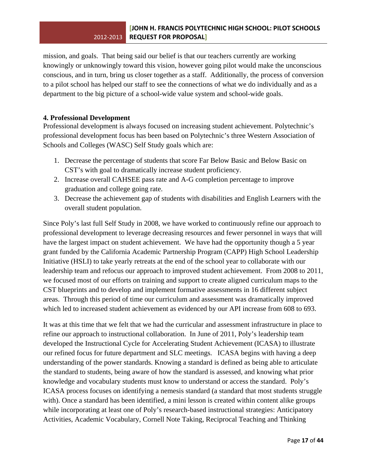mission, and goals. That being said our belief is that our teachers currently are working knowingly or unknowingly toward this vision, however going pilot would make the unconscious conscious, and in turn, bring us closer together as a staff. Additionally, the process of conversion to a pilot school has helped our staff to see the connections of what we do individually and as a department to the big picture of a school-wide value system and school-wide goals.

## **4. Professional Development**

Professional development is always focused on increasing student achievement. Polytechnic's professional development focus has been based on Polytechnic's three Western Association of Schools and Colleges (WASC) Self Study goals which are:

- 1. Decrease the percentage of students that score Far Below Basic and Below Basic on CST's with goal to dramatically increase student proficiency.
- 2. Increase overall CAHSEE pass rate and A-G completion percentage to improve graduation and college going rate.
- 3. Decrease the achievement gap of students with disabilities and English Learners with the overall student population.

Since Poly's last full Self Study in 2008, we have worked to continuously refine our approach to professional development to leverage decreasing resources and fewer personnel in ways that will have the largest impact on student achievement. We have had the opportunity though a 5 year grant funded by the California Academic Partnership Program (CAPP) High School Leadership Initiative (HSLI) to take yearly retreats at the end of the school year to collaborate with our leadership team and refocus our approach to improved student achievement. From 2008 to 2011, we focused most of our efforts on training and support to create aligned curriculum maps to the CST blueprints and to develop and implement formative assessments in 16 different subject areas. Through this period of time our curriculum and assessment was dramatically improved which led to increased student achievement as evidenced by our API increase from 608 to 693.

It was at this time that we felt that we had the curricular and assessment infrastructure in place to refine our approach to instructional collaboration. In June of 2011, Poly's leadership team developed the Instructional Cycle for Accelerating Student Achievement (ICASA) to illustrate our refined focus for future department and SLC meetings. ICASA begins with having a deep understanding of the power standards. Knowing a standard is defined as being able to articulate the standard to students, being aware of how the standard is assessed, and knowing what prior knowledge and vocabulary students must know to understand or access the standard. Poly's ICASA process focuses on identifying a nemesis standard (a standard that most students struggle with). Once a standard has been identified, a mini lesson is created within content alike groups while incorporating at least one of Poly's research-based instructional strategies: Anticipatory Activities, Academic Vocabulary, Cornell Note Taking, Reciprocal Teaching and Thinking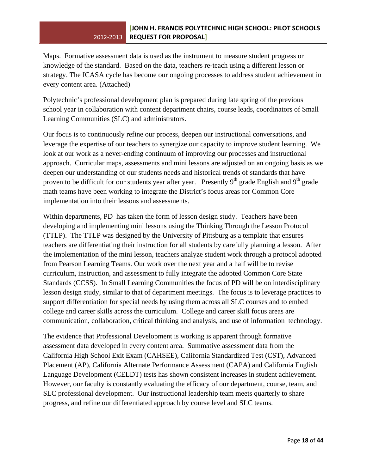Maps. Formative assessment data is used as the instrument to measure student progress or knowledge of the standard. Based on the data, teachers re-teach using a different lesson or strategy. The ICASA cycle has become our ongoing processes to address student achievement in every content area. (Attached)

Polytechnic's professional development plan is prepared during late spring of the previous school year in collaboration with content department chairs, course leads, coordinators of Small Learning Communities (SLC) and administrators.

Our focus is to continuously refine our process, deepen our instructional conversations, and leverage the expertise of our teachers to synergize our capacity to improve student learning. We look at our work as a never-ending continuum of improving our processes and instructional approach. Curricular maps, assessments and mini lessons are adjusted on an ongoing basis as we deepen our understanding of our students needs and historical trends of standards that have proven to be difficult for our students year after year. Presently  $9<sup>th</sup>$  grade English and  $9<sup>th</sup>$  grade math teams have been working to integrate the District's focus areas for Common Core implementation into their lessons and assessments.

Within departments, PD has taken the form of lesson design study. Teachers have been developing and implementing mini lessons using the Thinking Through the Lesson Protocol (TTLP). The TTLP was designed by the University of Pittsburg as a template that ensures teachers are differentiating their instruction for all students by carefully planning a lesson. After the implementation of the mini lesson, teachers analyze student work through a protocol adopted from Pearson Learning Teams. Our work over the next year and a half will be to revise curriculum, instruction, and assessment to fully integrate the adopted Common Core State Standards (CCSS). In Small Learning Communities the focus of PD will be on interdisciplinary lesson design study, similar to that of department meetings. The focus is to leverage practices to support differentiation for special needs by using them across all SLC courses and to embed college and career skills across the curriculum. College and career skill focus areas are communication, collaboration, critical thinking and analysis, and use of information technology.

The evidence that Professional Development is working is apparent through formative assessment data developed in every content area. Summative assessment data from the California High School Exit Exam (CAHSEE), California Standardized Test (CST), Advanced Placement (AP), California Alternate Performance Assessment (CAPA) and California English Language Development (CELDT) tests has shown consistent increases in student achievement. However, our faculty is constantly evaluating the efficacy of our department, course, team, and SLC professional development. Our instructional leadership team meets quarterly to share progress, and refine our differentiated approach by course level and SLC teams.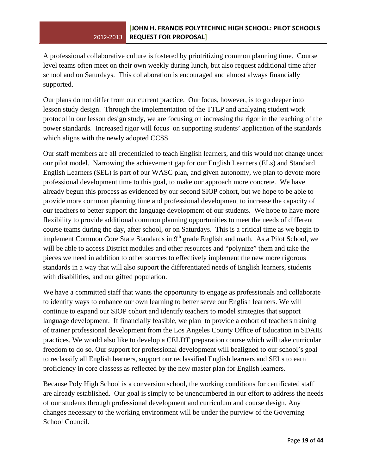A professional collaborative culture is fostered by priotritizing common planning time. Course level teams often meet on their own weekly during lunch, but also request additional time after school and on Saturdays. This collaboration is encouraged and almost always financially supported.

Our plans do not differ from our current practice. Our focus, however, is to go deeper into lesson study design. Through the implementation of the TTLP and analyzing student work protocol in our lesson design study, we are focusing on increasing the rigor in the teaching of the power standards. Increased rigor will focus on supporting students' application of the standards which aligns with the newly adopted CCSS.

Our staff members are all credentialed to teach English learners, and this would not change under our pilot model. Narrowing the achievement gap for our English Learners (ELs) and Standard English Learners (SEL) is part of our WASC plan, and given autonomy, we plan to devote more professional development time to this goal, to make our approach more concrete. We have already begun this process as evidenced by our second SIOP cohort, but we hope to be able to provide more common planning time and professional development to increase the capacity of our teachers to better support the language development of our students. We hope to have more flexibility to provide additional common planning opportunities to meet the needs of different course teams during the day, after school, or on Saturdays. This is a critical time as we begin to implement Common Core State Standards in  $9<sup>th</sup>$  grade English and math. As a Pilot School, we will be able to access District modules and other resources and "polynize" them and take the pieces we need in addition to other sources to effectively implement the new more rigorous standards in a way that will also support the differentiated needs of English learners, students with disabilities, and our gifted population.

We have a committed staff that wants the opportunity to engage as professionals and collaborate to identify ways to enhance our own learning to better serve our English learners. We will continue to expand our SIOP cohort and identify teachers to model strategies that support language development. If financially feasible, we plan to provide a cohort of teachers training of trainer professional development from the Los Angeles County Office of Education in SDAIE practices. We would also like to develop a CELDT preparation course which will take curricular freedom to do so. Our support for professional development will bealigned to our school's goal to reclassify all English learners, support our reclassified English learners and SELs to earn proficiency in core classess as reflected by the new master plan for English learners.

Because Poly High School is a conversion school, the working conditions for certificated staff are already established. Our goal is simply to be unencumbered in our effort to address the needs of our students through professional development and curriculum and course design. Any changes necessary to the working environment will be under the purview of the Governing School Council.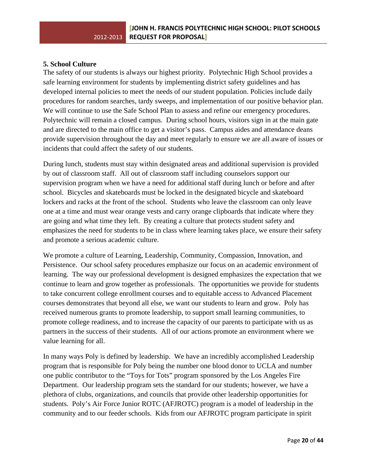## **5. School Culture**

The safety of our students is always our highest priority. Polytechnic High School provides a safe learning environment for students by implementing district safety guidelines and has developed internal policies to meet the needs of our student population. Policies include daily procedures for random searches, tardy sweeps, and implementation of our positive behavior plan. We will continue to use the Safe School Plan to assess and refine our emergency procedures. Polytechnic will remain a closed campus. During school hours, visitors sign in at the main gate and are directed to the main office to get a visitor's pass. Campus aides and attendance deans provide supervision throughout the day and meet regularly to ensure we are all aware of issues or incidents that could affect the safety of our students.

During lunch, students must stay within designated areas and additional supervision is provided by out of classroom staff. All out of classroom staff including counselors support our supervision program when we have a need for additional staff during lunch or before and after school. Bicycles and skateboards must be locked in the designated bicycle and skateboard lockers and racks at the front of the school. Students who leave the classroom can only leave one at a time and must wear orange vests and carry orange clipboards that indicate where they are going and what time they left. By creating a culture that protects student safety and emphasizes the need for students to be in class where learning takes place, we ensure their safety and promote a serious academic culture.

We promote a culture of Learning, Leadership, Community, Compassion, Innovation, and Persistence. Our school safety procedures emphasize our focus on an academic environment of learning. The way our professional development is designed emphasizes the expectation that we continue to learn and grow together as professionals. The opportunities we provide for students to take concurrent college enrollment courses and to equitable access to Advanced Placement courses demonstrates that beyond all else, we want our students to learn and grow. Poly has received numerous grants to promote leadership, to support small learning communities, to promote college readiness, and to increase the capacity of our parents to participate with us as partners in the success of their students. All of our actions promote an environment where we value learning for all.

In many ways Poly is defined by leadership. We have an incredibly accomplished Leadership program that is responsible for Poly being the number one blood donor to UCLA and number one public contributor to the "Toys for Tots" program sponsored by the Los Angeles Fire Department. Our leadership program sets the standard for our students; however, we have a plethora of clubs, organizations, and councils that provide other leadership opportunities for students. Poly's Air Force Junior ROTC (AFJROTC) program is a model of leadership in the community and to our feeder schools. Kids from our AFJROTC program participate in spirit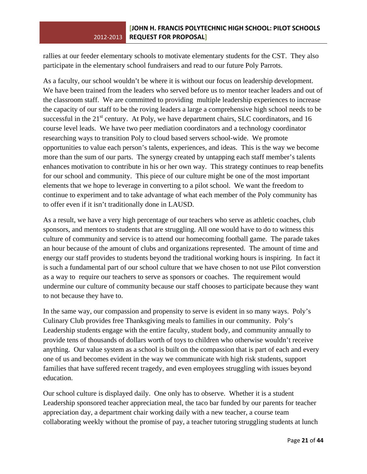rallies at our feeder elementary schools to motivate elementary students for the CST. They also participate in the elementary school fundraisers and read to our future Poly Parrots.

As a faculty, our school wouldn't be where it is without our focus on leadership development. We have been trained from the leaders who served before us to mentor teacher leaders and out of the classroom staff. We are committed to providing multiple leadership experiences to increase the capacity of our staff to be the roving leaders a large a comprehensive high school needs to be successful in the  $21<sup>st</sup>$  century. At Poly, we have department chairs, SLC coordinators, and 16 course level leads. We have two peer mediation coordinators and a technology coordinator researching ways to transition Poly to cloud based servers school-wide. We promote opportunities to value each person's talents, experiences, and ideas. This is the way we become more than the sum of our parts. The synergy created by untapping each staff member's talents enhances motivation to contribute in his or her own way. This strategy continues to reap benefits for our school and community. This piece of our culture might be one of the most important elements that we hope to leverage in converting to a pilot school. We want the freedom to continue to experiment and to take advantage of what each member of the Poly community has to offer even if it isn't traditionally done in LAUSD.

As a result, we have a very high percentage of our teachers who serve as athletic coaches, club sponsors, and mentors to students that are struggling. All one would have to do to witness this culture of community and service is to attend our homecoming football game. The parade takes an hour because of the amount of clubs and organizations represented. The amount of time and energy our staff provides to students beyond the traditional working hours is inspiring. In fact it is such a fundamental part of our school culture that we have chosen to not use Pilot converstion as a way to require our teachers to serve as sponsors or coaches. The requirement would undermine our culture of community because our staff chooses to participate because they want to not because they have to.

In the same way, our compassion and propensity to serve is evident in so many ways. Poly's Culinary Club provides free Thanksgiving meals to families in our community. Poly's Leadership students engage with the entire faculty, student body, and community annually to provide tens of thousands of dollars worth of toys to children who otherwise wouldn't receive anything. Our value system as a school is built on the compassion that is part of each and every one of us and becomes evident in the way we communicate with high risk students, support families that have suffered recent tragedy, and even employees struggling with issues beyond education.

Our school culture is displayed daily. One only has to observe. Whether it is a student Leadership sponsored teacher appreciation meal, the taco bar funded by our parents for teacher appreciation day, a department chair working daily with a new teacher, a course team collaborating weekly without the promise of pay, a teacher tutoring struggling students at lunch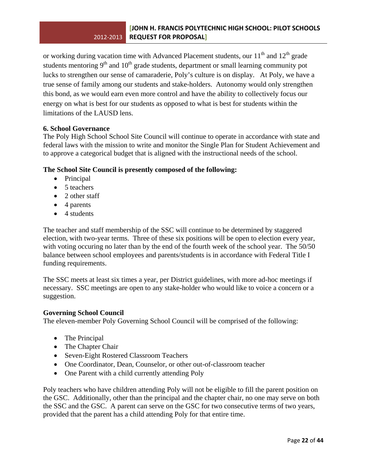or working during vacation time with Advanced Placement students, our  $11<sup>th</sup>$  and  $12<sup>th</sup>$  grade students mentoring  $9<sup>th</sup>$  and  $10<sup>th</sup>$  grade students, department or small learning community pot lucks to strengthen our sense of camaraderie, Poly's culture is on display. At Poly, we have a true sense of family among our students and stake-holders. Autonomy would only strengthen this bond, as we would earn even more control and have the ability to collectively focus our energy on what is best for our students as opposed to what is best for students within the limitations of the LAUSD lens.

## **6. School Governance**

The Poly High School School Site Council will continue to operate in accordance with state and federal laws with the mission to write and monitor the Single Plan for Student Achievement and to approve a categorical budget that is aligned with the instructional needs of the school.

## **The School Site Council is presently composed of the following:**

- Principal
- 5 teachers
- 2 other staff
- 4 parents
- 4 students

The teacher and staff membership of the SSC will continue to be determined by staggered election, with two-year terms. Three of these six positions will be open to election every year, with voting occuring no later than by the end of the fourth week of the school year. The 50/50 balance between school employees and parents/students is in accordance with Federal Title I funding requirements.

The SSC meets at least six times a year, per District guidelines, with more ad-hoc meetings if necessary. SSC meetings are open to any stake-holder who would like to voice a concern or a suggestion.

## **Governing School Council**

The eleven-member Poly Governing School Council will be comprised of the following:

- The Principal
- The Chapter Chair
- Seven-Eight Rostered Classroom Teachers
- One Coordinator, Dean, Counselor, or other out-of-classroom teacher
- One Parent with a child currently attending Poly

Poly teachers who have children attending Poly will not be eligible to fill the parent position on the GSC. Additionally, other than the principal and the chapter chair, no one may serve on both the SSC and the GSC. A parent can serve on the GSC for two consecutive terms of two years, provided that the parent has a child attending Poly for that entire time.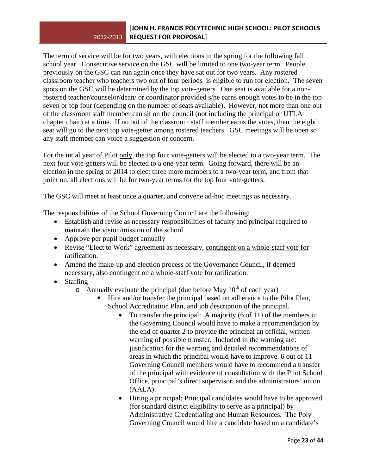## 2012‐2013 **REQUEST FOR PROPOSAL] [JOHN H. FRANCIS POLYTECHNIC HIGH SCHOOL: PILOT SCHOOLS**

The term of service will be for two years, with elections in the spring for the following fall school year. Consecutive service on the GSC will be limited to one two-year term. People previously on the GSC can run again once they have sat out for two years. Any rostered classroom teacher who teachers two out of four periods is eligible to run for election. The seven spots on the GSC will be determined by the top vote-getters. One seat is available for a nonrostered teacher/counselor/dean/ or coordinator provided s/he earns enough votes to be in the top seven or top four (depending on the number of seats available). However, not more than one out of the classroom staff member can sit on the council (not including the principal or UTLA chapter chair) at a time. If no out of the classroom staff member earns the votes, then the eighth seat will go to the next top vote-getter among rostered teachers. GSC meetings will be open so any staff member can voice a suggestion or concern.

For the intial year of Pilot only, the top four vote-getters will be elected to a two-year term. The next four vote-getters will be elected to a one-year term. Going forward, there will be an election in the spring of 2014 to elect three more members to a two-year term, and from that point on, all elections will be for two-year terms for the top four vote-getters.

The GSC will meet at least once a quarter, and convene ad-hoc meetings as necessary.

The responsibilities of the School Governing Council are the following:

- Establish and revise as necessary responsibilities of faculty and principal required to maintain the vision/mission of the school
- Approve per pupil budget annually
- Revise "Elect to Work" agreement as necessary, contingent on a whole-staff vote for ratification.
- Amend the make-up and election process of the Governance Council, if deemed necessary, also contingent on a whole-staff vote for ratification.
- Staffing
	- $\circ$  Annually evaluate the principal (due before May 10<sup>th</sup> of each year)
		- Hire and/or transfer the principal based on adherence to the Pilot Plan, School Accreditation Plan, and job description of the principal.
			- To transfer the principal: A majority (6 of 11) of the members in the Governing Council would have to make a recommendation by the end of quarter 2 to provide the principal an official, written warning of possible transfer. Included in the warning are: justification for the warning and detailed recommendations of areas in which the principal would have to improve. 6 out of 11 Governing Council members would have to recommend a transfer of the principal with evidence of consultation with the Pilot School Office, principal's direct supervisor, and the administrators' union (AALA).
			- Hiring a principal: Principal candidates would have to be approved (for standard district eligibility to serve as a principal) by Administrative Credentialing and Human Resources. The Poly Governing Council would hire a candidate based on a candidate's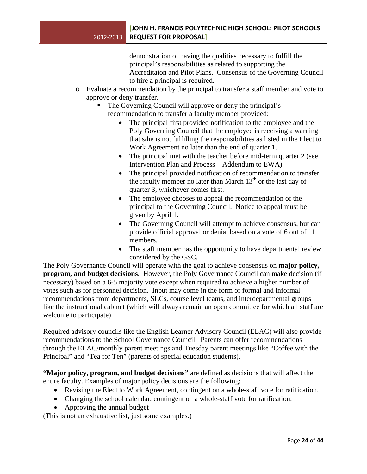demonstration of having the qualities necessary to fulfill the principal's responsibilities as related to supporting the Accreditaion and Pilot Plans. Consensus of the Governing Council to hire a principal is required.

- o Evaluate a recommendation by the principal to transfer a staff member and vote to approve or deny transfer.
	- The Governing Council will approve or deny the principal's recommendation to transfer a faculty member provided:
		- The principal first provided notification to the employee and the Poly Governing Council that the employee is receiving a warning that s/he is not fulfilling the responsibilities as listed in the Elect to Work Agreement no later than the end of quarter 1.
		- The principal met with the teacher before mid-term quarter 2 (see Intervention Plan and Process – Addendum to EWA)
		- The principal provided notification of recommendation to transfer the faculty member no later than March  $13<sup>th</sup>$  or the last day of quarter 3, whichever comes first.
		- The employee chooses to appeal the recommendation of the principal to the Governing Council. Notice to appeal must be given by April 1.
		- The Governing Council will attempt to achieve consensus, but can provide official approval or denial based on a vote of 6 out of 11 members.
		- The staff member has the opportunity to have departmental review considered by the GSC.

The Poly Governance Council will operate with the goal to achieve consensus on **major policy, program, and budget decisions**. However, the Poly Governance Council can make decision (if necessary) based on a 6-5 majority vote except when required to achieve a higher number of votes such as for personnel decision. Input may come in the form of formal and informal recommendations from departments, SLCs, course level teams, and interdepartmental groups like the instructional cabinet (which will always remain an open committee for which all staff are welcome to participate).

Required advisory councils like the English Learner Advisory Council (ELAC) will also provide recommendations to the School Governance Council. Parents can offer recommendations through the ELAC/monthly parent meetings and Tuesday parent meetings like "Coffee with the Principal" and "Tea for Ten" (parents of special education students).

**"Major policy, program, and budget decisions"** are defined as decisions that will affect the entire faculty. Examples of major policy decisions are the following:

- Revising the Elect to Work Agreement, contingent on a whole-staff vote for ratification.
- Changing the school calendar, contingent on a whole-staff vote for ratification.
- Approving the annual budget

(This is not an exhaustive list, just some examples.)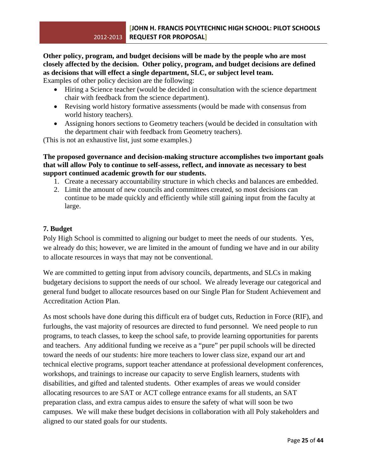## **Other policy, program, and budget decisions will be made by the people who are most closely affected by the decision. Other policy, program, and budget decisions are defined as decisions that will effect a single department, SLC, or subject level team.**

Examples of other policy decision are the following:

- Hiring a Science teacher (would be decided in consultation with the science department chair with feedback from the science department).
- Revising world history formative assessments (would be made with consensus from world history teachers).
- Assigning honors sections to Geometry teachers (would be decided in consultation with the department chair with feedback from Geometry teachers).

(This is not an exhaustive list, just some examples.)

## **The proposed governance and decision-making structure accomplishes two important goals that will allow Poly to continue to self-assess, reflect, and innovate as necessary to best support continued academic growth for our students.**

- 1. Create a necessary accountability structure in which checks and balances are embedded.
- 2. Limit the amount of new councils and committees created, so most decisions can continue to be made quickly and efficiently while still gaining input from the faculty at large.

## **7. Budget**

Poly High School is committed to aligning our budget to meet the needs of our students. Yes, we already do this; however, we are limited in the amount of funding we have and in our ability to allocate resources in ways that may not be conventional.

We are committed to getting input from advisory councils, departments, and SLCs in making budgetary decisions to support the needs of our school. We already leverage our categorical and general fund budget to allocate resources based on our Single Plan for Student Achievement and Accreditation Action Plan.

As most schools have done during this difficult era of budget cuts, Reduction in Force (RIF), and furloughs, the vast majority of resources are directed to fund personnel. We need people to run programs, to teach classes, to keep the school safe, to provide learning opportunities for parents and teachers. Any additional funding we receive as a "pure" per pupil schools will be directed toward the needs of our students: hire more teachers to lower class size, expand our art and technical elective programs, support teacher attendance at professional development conferences, workshops, and trainings to increase our capacity to serve English learners, students with disabilities, and gifted and talented students. Other examples of areas we would consider allocating resources to are SAT or ACT college entrance exams for all students, an SAT preparation class, and extra campus aides to ensure the safety of what will soon be two campuses. We will make these budget decisions in collaboration with all Poly stakeholders and aligned to our stated goals for our students.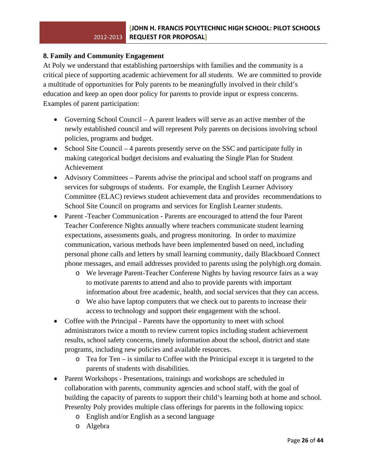## **8. Family and Community Engagement**

At Poly we understand that establishing partnerships with families and the community is a critical piece of supporting academic achievement for all students. We are committed to provide a multitude of opportunities for Poly parents to be meaningfully involved in their child's education and keep an open door policy for parents to provide input or express concerns. Examples of parent participation:

- Governing School Council A parent leaders will serve as an active member of the newly established council and will represent Poly parents on decisions involving school policies, programs and budget.
- School Site Council 4 parents presently serve on the SSC and participate fully in making categorical budget decisions and evaluating the Single Plan for Student Achievement
- Advisory Committees Parents advise the principal and school staff on programs and services for subgroups of students. For example, the English Learner Advisory Committee (ELAC) reviews student achievement data and provides recommendations to School Site Council on programs and services for English Learner students.
- Parent -Teacher Communication Parents are encouraged to attend the four Parent Teacher Conference Nights annually where teachers communicate student learning expectations, assessments goals, and progress monitoring. In order to maximize communication, various methods have been implemented based on need, including personal phone calls and letters by small learning community, daily Blackboard Connect phone messages, and email addresses provided to parents using the polyhigh.org domain.
	- o We leverage Parent-Teacher Conferene Nights by having resource fairs as a way to motivate parents to attend and also to provide parents with important information about free academic, health, and social services that they can access.
	- o We also have laptop computers that we check out to parents to increase their access to technology and support their engagement with the school.
- Coffee with the Principal Parents have the opportunity to meet with school administrators twice a month to review current topics including student achievement results, school safety concerns, timely information about the school, district and state programs, including new policies and available resources.
	- o Tea for Ten is similar to Coffee with the Prinicipal except it is targeted to the parents of students with disabilities.
- Parent Workshops Presentations, trainings and workshops are scheduled in collaboration with parents, community agencies and school staff, with the goal of building the capacity of parents to support their child's learning both at home and school. Presenlty Poly provides multiple class offerings for parents in the following topics:
	- o English and/or English as a second language
	- o Algebra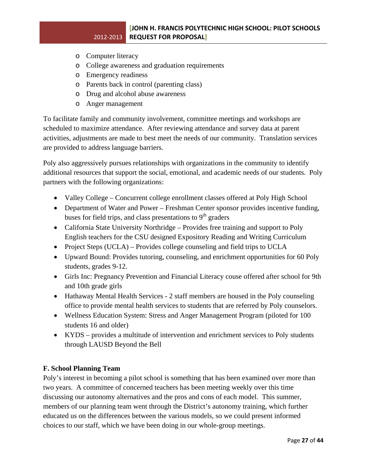- o Computer literacy
- o College awareness and graduation requirements
- o Emergency readiness
- o Parents back in control (parenting class)
- o Drug and alcohol abuse awareness
- o Anger management

To facilitate family and community involvement, committee meetings and workshops are scheduled to maximize attendance. After reviewing attendance and survey data at parent activities, adjustments are made to best meet the needs of our community. Translation services are provided to address language barriers.

Poly also aggressively pursues relationships with organizations in the community to identify additional resources that support the social, emotional, and academic needs of our students. Poly partners with the following organizations:

- Valley College Concurrent college enrollment classes offered at Poly High School
- Department of Water and Power Freshman Center sponsor provides incentive funding, buses for field trips, and class presentations to 9<sup>th</sup> graders
- California State University Northridge Provides free training and support to Poly English teachers for the CSU designed Expository Reading and Writing Curriculum
- Project Steps (UCLA) Provides college counseling and field trips to UCLA
- Upward Bound: Provides tutoring, counseling, and enrichment opportunities for 60 Poly students, grades 9-12.
- Girls Inc: Pregnancy Prevention and Financial Literacy couse offered after school for 9th and 10th grade girls
- Hathaway Mental Health Services 2 staff members are housed in the Poly counseling office to provide mental health services to students that are referred by Poly counselors.
- Wellness Education System: Stress and Anger Management Program (piloted for 100 students 16 and older)
- KYDS provides a multitude of intervention and enrichment services to Poly students through LAUSD Beyond the Bell

## **F. School Planning Team**

Poly's interest in becoming a pilot school is something that has been examined over more than two years. A committee of concerned teachers has been meeting weekly over this time discussing our autonomy alternatives and the pros and cons of each model. This summer, members of our planning team went through the District's autonomy training, which further educated us on the differences between the various models, so we could present informed choices to our staff, which we have been doing in our whole-group meetings.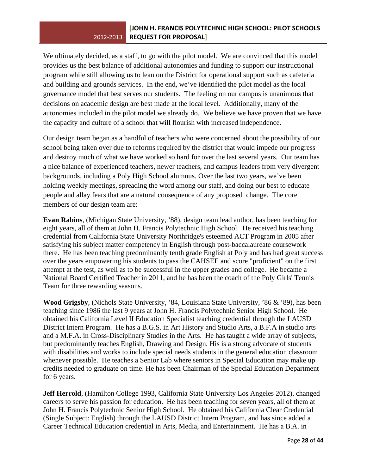We ultimately decided, as a staff, to go with the pilot model. We are convinced that this model provides us the best balance of additional autonomies and funding to support our instructional program while still allowing us to lean on the District for operational support such as cafeteria and building and grounds services. In the end, we've identified the pilot model as the local governance model that best serves our students. The feeling on our campus is unanimous that decisions on academic design are best made at the local level. Additionally, many of the autonomies included in the pilot model we already do. We believe we have proven that we have the capacity and culture of a school that will flourish with increased independence.

Our design team began as a handful of teachers who were concerned about the possibility of our school being taken over due to reforms required by the district that would impede our progress and destroy much of what we have worked so hard for over the last several years. Our team has a nice balance of experienced teachers, newer teachers, and campus leaders from very divergent backgrounds, including a Poly High School alumnus. Over the last two years, we've been holding weekly meetings, spreading the word among our staff, and doing our best to educate people and allay fears that are a natural consequence of any proposed change. The core members of our design team are:

**Evan Rabins**, (Michigan State University, '88), design team lead author, has been teaching for eight years, all of them at John H. Francis Polytechnic High School. He received his teaching credential from California State University Northridge's esteemed ACT Program in 2005 after satisfying his subject matter competency in English through post-baccalaureate coursework there. He has been teaching predominantly tenth grade English at Poly and has had great success over the years empowering his students to pass the CAHSEE and score "proficient" on the first attempt at the test, as well as to be successful in the upper grades and college. He became a National Board Certified Teacher in 2011, and he has been the coach of the Poly Girls' Tennis Team for three rewarding seasons.

**Wood Grigsby**, (Nichols State University, '84, Louisiana State University, '86 & '89), has been teaching since 1986 the last 9 years at John H. Francis Polytechnic Senior High School. He obtained his California Level II Education Specialist teaching credential through the LAUSD District Intern Program. He has a B.G.S. in Art History and Studio Arts, a B.F.A in studio arts and a M.F.A. in Cross-Disciplinary Studies in the Arts. He has taught a wide array of subjects, but predominantly teaches English, Drawing and Design. His is a strong advocate of students with disabilities and works to include special needs students in the general education classroom whenever possible. He teaches a Senior Lab where seniors in Special Education may make up credits needed to graduate on time. He has been Chairman of the Special Education Department for 6 years.

**Jeff Herrold**, (Hamilton College 1993, California State University Los Angeles 2012), changed careers to serve his passion for education. He has been teaching for seven years, all of them at John H. Francis Polytechnic Senior High School. He obtained his California Clear Credential (Single Subject: English) through the LAUSD District Intern Program, and has since added a Career Technical Education credential in Arts, Media, and Entertainment. He has a B.A. in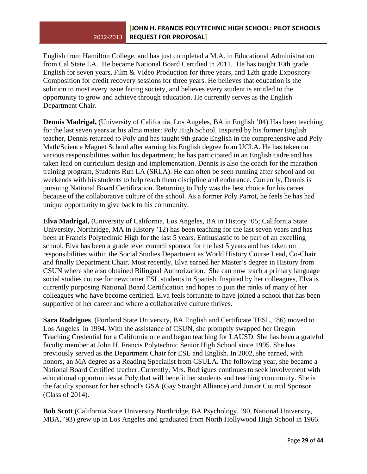English from Hamilton College, and has just completed a M.A. in Educational Administration from Cal State LA. He became National Board Certified in 2011. He has taught 10th grade English for seven years, Film & Video Production for three years, and 12th grade Expository Composition for credit recovery sessions for three years. He believes that education is the solution to most every issue facing society, and believes every student is entitled to the opportunity to grow and achieve through education. He currently serves as the English Department Chair.

**Dennis Madrigal,** (University of California, Los Angeles, BA in English '04) Has been teaching for the last seven years at his alma mater: Poly High School. Inspired by his former English teacher, Dennis returned to Poly and has taught 9th grade English in the comprehensive and Poly Math/Science Magnet School after earning his English degree from UCLA. He has taken on various responsibilities within his department; he has participated in an English cadre and has taken lead on curriculum design and implementation. Dennis is also the coach for the marathon training program, Students Run LA (SRLA). He can often be seen running after school and on weekends with his students to help teach them discipline and endurance. Currently, Dennis is pursuing National Board Certification. Returning to Poly was the best choice for his career because of the collaborative culture of the school. As a former Poly Parrot, he feels he has had unique opportunity to give back to his community.

**Elva Madrigal,** (University of California, Los Angeles, BA in History '05; California State University, Northridge, MA in History '12) has been teaching for the last seven years and has been at Francis Polytechnic High for the last 5 years. Enthusiastic to be part of an excelling school, Elva has been a grade level council sponsor for the last 5 years and has taken on responsibilities within the Social Studies Department as World History Course Lead, Co-Chair and finally Department Chair. Most recently, Elva earned her Master's degree in History from CSUN where she also obtained Bilingual Authorization. She can now teach a primary language social studies course for newcomer ESL students in Spanish. Inspired by her colleagues, Elva is currently purposing National Board Certification and hopes to join the ranks of many of her colleagues who have become certified. Elva feels fortunate to have joined a school that has been supportive of her career and where a collaborative culture thrives.

**Sara Rodrigues**, (Portland State University, BA English and Certificate TESL, '86) moved to Los Angeles in 1994. With the assistance of CSUN, she promptly swapped her Oregon Teaching Credential for a California one and began teaching for LAUSD. She has been a grateful faculty member at John H. Francis Polytechnic Senior High School since 1995. She has previously served as the Department Chair for ESL and English. In 2002, she earned, with honors, an MA degree as a Reading Specialist from CSULA. The following year, she became a National Board Certified teacher. Currently, Mrs. Rodrigues continues to seek involvement with educational opportunities at Poly that will benefit her students and teaching community. She is the faculty sponsor for her school's GSA (Gay Straight Alliance) and Junior Council Sponsor (Class of 2014).

**Bob Scott** (California State University Northridge, BA Psychology, '90, National University, MBA, '93) grew up in Los Angeles and graduated from North Hollywood High School in 1966.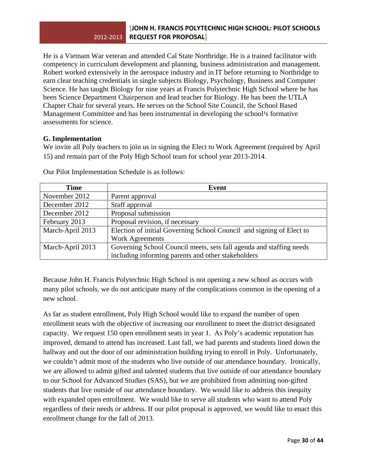He is a Vietnam War veteran and attended Cal State Northridge. He is a trained facilitator with competency in curriculum development and planning, business administration and management. Robert worked extensively in the aerospace industry and in IT before returning to Northridge to earn clear teaching credentials in single subjects Biology, Psychology, Business and Computer Science. He has taught Biology for nine years at Francis Polytechnic High School where he has been Science Department Chairperson and lead teacher for Biology. He has been the UTLA Chapter Chair for several years. He serves on the School Site Council, the School Based Management Committee and has been instrumental in developing the school<sup>1</sup>s formative assessments for science.

## **G. Implementation**

We invite all Poly teachers to join us in signing the Elect to Work Agreement (required by April 15) and remain part of the Poly High School team for school year 2013-2014.

| Time             | Event                                                                |
|------------------|----------------------------------------------------------------------|
| November 2012    | Parent approval                                                      |
| December 2012    | Staff approval                                                       |
| December 2012    | Proposal submission                                                  |
| February 2013    | Proposal revision, if necessary                                      |
| March-April 2013 | Election of initial Governing School Council and signing of Elect to |
|                  | <b>Work Agreements</b>                                               |
| March-April 2013 | Governing School Council meets, sets fall agenda and staffing needs  |
|                  | including informing parents and other stakeholders                   |

Our Pilot Implementation Schedule is as follows:

Because John H. Francis Polytechnic High School is not opening a new school as occurs with many pilot schools, we do not anticipate many of the complications common in the opening of a new school.

As far as student enrollment, Poly High School would like to expand the number of open enrollment seats with the objective of increasing our enrollment to meet the district designated capacity. We request 150 open enrollment seats in year 1. As Poly's academic reputation has improved, demand to attend has increased. Last fall, we had parents and students lined down the hallway and out the door of our administration building trying to enroll in Poly. Unfortunately, we couldn't admit most of the students who live outside of our attendance boundary. Ironically, we are allowed to admit gifted and talented students that live outside of our attendance boundary to our School for Advanced Studies (SAS), but we are prohibited from admitting non-gifted students that live outside of our attendance boundary. We would like to address this inequity with expanded open enrollment. We would like to serve all students who want to attend Poly regardless of their needs or address. If our pilot proposal is approved, we would like to enact this enrollment change for the fall of 2013.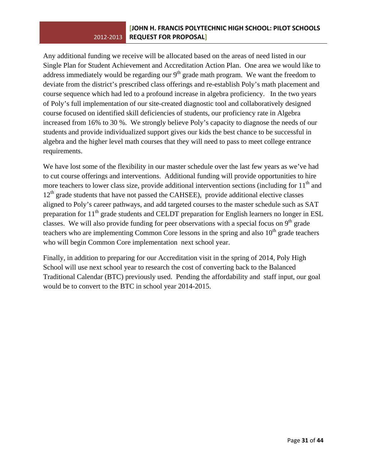Any additional funding we receive will be allocated based on the areas of need listed in our Single Plan for Student Achievement and Accreditation Action Plan. One area we would like to address immediately would be regarding our  $9<sup>th</sup>$  grade math program. We want the freedom to deviate from the district's prescribed class offerings and re-establish Poly's math placement and course sequence which had led to a profound increase in algebra proficiency. In the two years of Poly's full implementation of our site-created diagnostic tool and collaboratively designed course focused on identified skill deficiencies of students, our proficiency rate in Algebra increased from 16% to 30 %. We strongly believe Poly's capacity to diagnose the needs of our students and provide individualized support gives our kids the best chance to be successful in algebra and the higher level math courses that they will need to pass to meet college entrance requirements.

We have lost some of the flexibility in our master schedule over the last few years as we've had to cut course offerings and interventions. Additional funding will provide opportunities to hire more teachers to lower class size, provide additional intervention sections (including for  $11<sup>th</sup>$  and  $12<sup>th</sup>$  grade students that have not passed the CAHSEE), provide additional elective classes aligned to Poly's career pathways, and add targeted courses to the master schedule such as SAT preparation for  $11<sup>th</sup>$  grade students and CELDT preparation for English learners no longer in ESL classes. We will also provide funding for peer observations with a special focus on  $9<sup>th</sup>$  grade teachers who are implementing Common Core lessons in the spring and also  $10<sup>th</sup>$  grade teachers who will begin Common Core implementation next school year.

Finally, in addition to preparing for our Accreditation visit in the spring of 2014, Poly High School will use next school year to research the cost of converting back to the Balanced Traditional Calendar (BTC) previously used. Pending the affordability and staff input, our goal would be to convert to the BTC in school year 2014-2015.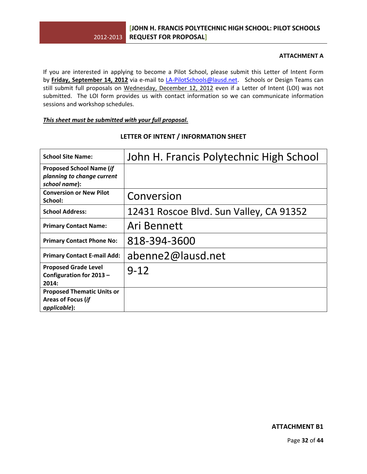## **ATTACHMENT A**

If you are interested in applying to become a Pilot School, please submit this Letter of Intent Form by **Friday, September 14, 2012** via e‐mail to LA‐[PilotSchools@lausd.net](mailto:LA-PilotSchools@lausd.net). Schools or Design Teams can still submit full proposals on Wednesday, December 12, 2012 even if a Letter of Intent (LOI) was not submitted. The LOI form provides us with contact information so we can communicate information sessions and workshop schedules.

### *This sheet must be submitted with your full proposal.*

| <b>School Site Name:</b>                                                       | John H. Francis Polytechnic High School |
|--------------------------------------------------------------------------------|-----------------------------------------|
| <b>Proposed School Name (if</b><br>planning to change current<br>school name): |                                         |
| <b>Conversion or New Pilot</b><br>School:                                      | Conversion                              |
| <b>School Address:</b>                                                         | 12431 Roscoe Blvd. Sun Valley, CA 91352 |
| <b>Primary Contact Name:</b>                                                   | Ari Bennett                             |
| <b>Primary Contact Phone No:</b>                                               | 818-394-3600                            |
| <b>Primary Contact E-mail Add:</b>                                             | abenne2@lausd.net                       |
| <b>Proposed Grade Level</b><br>Configuration for 2013 -<br>2014:               | $9 - 12$                                |
| <b>Proposed Thematic Units or</b><br>Areas of Focus (if<br>applicable):        |                                         |

## **LETTER OF INTENT / INFORMATION SHEET**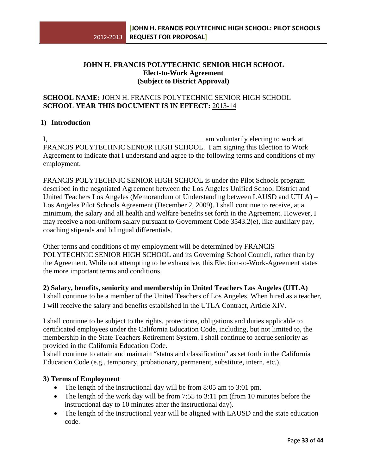## **JOHN H. FRANCIS POLYTECHNIC SENIOR HIGH SCHOOL Elect-to-Work Agreement (Subject to District Approval)**

## **SCHOOL NAME:** JOHN H. FRANCIS POLYTECHNIC SENIOR HIGH SCHOOL **SCHOOL YEAR THIS DOCUMENT IS IN EFFECT:** 2013-14

## **1) Introduction**

I, \_\_\_\_\_\_\_\_\_\_\_\_\_\_\_\_\_\_\_\_\_\_\_\_\_\_\_\_\_\_\_\_\_\_\_\_\_\_\_\_\_\_\_ am voluntarily electing to work at FRANCIS POLYTECHNIC SENIOR HIGH SCHOOL. I am signing this Election to Work Agreement to indicate that I understand and agree to the following terms and conditions of my employment.

FRANCIS POLYTECHNIC SENIOR HIGH SCHOOL is under the Pilot Schools program described in the negotiated Agreement between the Los Angeles Unified School District and United Teachers Los Angeles (Memorandum of Understanding between LAUSD and UTLA) – Los Angeles Pilot Schools Agreement (December 2, 2009). I shall continue to receive, at a minimum, the salary and all health and welfare benefits set forth in the Agreement. However, I may receive a non-uniform salary pursuant to Government Code 3543.2(e), like auxiliary pay, coaching stipends and bilingual differentials.

Other terms and conditions of my employment will be determined by FRANCIS POLYTECHNIC SENIOR HIGH SCHOOL and its Governing School Council, rather than by the Agreement. While not attempting to be exhaustive, this Election-to-Work-Agreement states the more important terms and conditions.

**2) Salary, benefits, seniority and membership in United Teachers Los Angeles (UTLA)**  I shall continue to be a member of the United Teachers of Los Angeles. When hired as a teacher, I will receive the salary and benefits established in the UTLA Contract, Article XIV.

I shall continue to be subject to the rights, protections, obligations and duties applicable to certificated employees under the California Education Code, including, but not limited to, the membership in the State Teachers Retirement System. I shall continue to accrue seniority as provided in the California Education Code.

I shall continue to attain and maintain "status and classification" as set forth in the California Education Code (e.g., temporary, probationary, permanent, substitute, intern, etc.).

## **3) Terms of Employment**

- The length of the instructional day will be from 8:05 am to 3:01 pm.
- The length of the work day will be from 7:55 to 3:11 pm (from 10 minutes before the instructional day to 10 minutes after the instructional day).
- The length of the instructional year will be aligned with LAUSD and the state education code.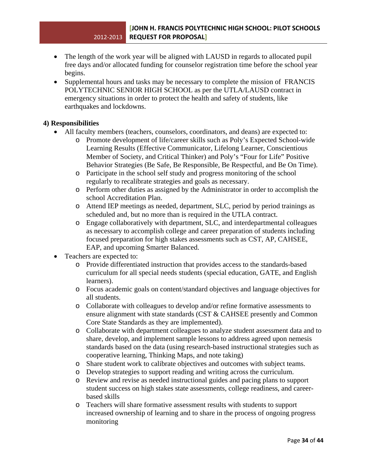- The length of the work year will be aligned with LAUSD in regards to allocated pupil free days and/or allocated funding for counselor registration time before the school year begins.
- Supplemental hours and tasks may be necessary to complete the mission of FRANCIS POLYTECHNIC SENIOR HIGH SCHOOL as per the UTLA/LAUSD contract in emergency situations in order to protect the health and safety of students, like earthquakes and lockdowns.

## **4) Responsibilities**

- All faculty members (teachers, counselors, coordinators, and deans) are expected to:
	- o Promote development of life/career skills such as Poly's Expected School-wide Learning Results (Effective Communicator, Lifelong Learner, Conscientious Member of Society, and Critical Thinker) and Poly's "Four for Life" Positive Behavior Strategies (Be Safe, Be Responsible, Be Respectful, and Be On Time).
	- o Participate in the school self study and progress monitoring of the school regularly to recalibrate strategies and goals as necessary.
	- o Perform other duties as assigned by the Administrator in order to accomplish the school Accreditation Plan.
	- o Attend IEP meetings as needed, department, SLC, period by period trainings as scheduled and, but no more than is required in the UTLA contract.
	- o Engage collaboratively with department, SLC, and interdepartmental colleagues as necessary to accomplish college and career preparation of students including focused preparation for high stakes assessments such as CST, AP, CAHSEE, EAP, and upcoming Smarter Balanced.
- Teachers are expected to:
	- o Provide differentiated instruction that provides access to the standards-based curriculum for all special needs students (special education, GATE, and English learners).
	- o Focus academic goals on content/standard objectives and language objectives for all students.
	- o Collaborate with colleagues to develop and/or refine formative assessments to ensure alignment with state standards (CST & CAHSEE presently and Common Core State Standards as they are implemented).
	- o Collaborate with department colleagues to analyze student assessment data and to share, develop, and implement sample lessons to address agreed upon nemesis standards based on the data (using research-based instructional strategies such as cooperative learning, Thinking Maps, and note taking)
	- o Share student work to calibrate objectives and outcomes with subject teams.
	- o Develop strategies to support reading and writing across the curriculum.
	- o Review and revise as needed instructional guides and pacing plans to support student success on high stakes state assessments, college readiness, and careerbased skills
	- o Teachers will share formative assessment results with students to support increased ownership of learning and to share in the process of ongoing progress monitoring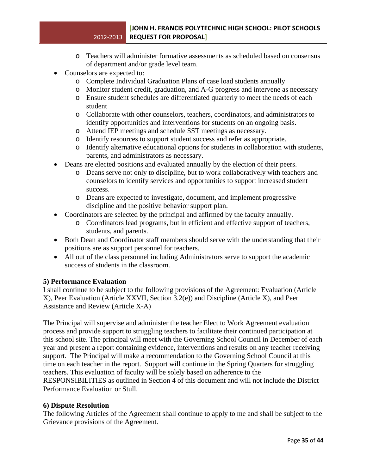- o Teachers will administer formative assessments as scheduled based on consensus of department and/or grade level team.
- Counselors are expected to:
	- o Complete Individual Graduation Plans of case load students annually
	- o Monitor student credit, graduation, and A-G progress and intervene as necessary
	- o Ensure student schedules are differentiated quarterly to meet the needs of each student
	- o Collaborate with other counselors, teachers, coordinators, and administrators to identify opportunities and interventions for students on an ongoing basis.
	- o Attend IEP meetings and schedule SST meetings as necessary.
	- o Identify resources to support student success and refer as appropriate.
	- o Identify alternative educational options for students in collaboration with students, parents, and administrators as necessary.
- Deans are elected positions and evaluated annually by the election of their peers.
	- o Deans serve not only to discipline, but to work collaboratively with teachers and counselors to identify services and opportunities to support increased student success.
	- o Deans are expected to investigate, document, and implement progressive discipline and the positive behavior support plan.
- Coordinators are selected by the principal and affirmed by the faculty annually.
	- o Coordinators lead programs, but in efficient and effective support of teachers, students, and parents.
- Both Dean and Coordinator staff members should serve with the understanding that their positions are as support personnel for teachers.
- All out of the class personnel including Administrators serve to support the academic success of students in the classroom.

## **5) Performance Evaluation**

I shall continue to be subject to the following provisions of the Agreement: Evaluation (Article X), Peer Evaluation (Article XXVII, Section 3.2(e)) and Discipline (Article X), and Peer Assistance and Review (Article X-A)

The Principal will supervise and administer the teacher Elect to Work Agreement evaluation process and provide support to struggling teachers to facilitate their continued participation at this school site. The principal will meet with the Governing School Council in December of each year and present a report containing evidence, interventions and results on any teacher receiving support. The Principal will make a recommendation to the Governing School Council at this time on each teacher in the report. Support will continue in the Spring Quarters for struggling teachers. This evaluation of faculty will be solely based on adherence to the RESPONSIBILITIES as outlined in Section 4 of this document and will not include the District Performance Evaluation or Stull.

## **6) Dispute Resolution**

The following Articles of the Agreement shall continue to apply to me and shall be subject to the Grievance provisions of the Agreement.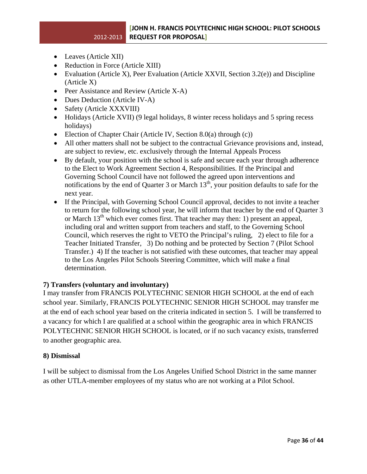- Leaves (Article XII)
- Reduction in Force (Article XIII)
- Evaluation (Article X), Peer Evaluation (Article XXVII, Section 3.2(e)) and Discipline (Article X)
- Peer Assistance and Review (Article X-A)
- Dues Deduction (Article IV-A)
- Safety (Article XXXVIII)
- Holidays (Article XVII) (9 legal holidays, 8 winter recess holidays and 5 spring recess holidays)
- Election of Chapter Chair (Article IV, Section 8.0(a) through (c))
- All other matters shall not be subject to the contractual Grievance provisions and, instead, are subject to review, etc. exclusively through the Internal Appeals Process
- By default, your position with the school is safe and secure each year through adherence to the Elect to Work Agreement Section 4, Responsibilities. If the Principal and Governing School Council have not followed the agreed upon interventions and notifications by the end of Quarter 3 or March  $13<sup>th</sup>$ , your position defaults to safe for the next year.
- If the Principal, with Governing School Council approval, decides to not invite a teacher to return for the following school year, he will inform that teacher by the end of Quarter 3 or March 13<sup>th</sup> which ever comes first. That teacher may then: 1) present an appeal, including oral and written support from teachers and staff, to the Governing School Council, which reserves the right to VETO the Principal's ruling, 2) elect to file for a Teacher Initiated Transfer, 3) Do nothing and be protected by Section 7 (Pilot School Transfer.) 4) If the teacher is not satisfied with these outcomes, that teacher may appeal to the Los Angeles Pilot Schools Steering Committee, which will make a final determination.

## **7) Transfers (voluntary and involuntary)**

I may transfer from FRANCIS POLYTECHNIC SENIOR HIGH SCHOOL at the end of each school year. Similarly, FRANCIS POLYTECHNIC SENIOR HIGH SCHOOL may transfer me at the end of each school year based on the criteria indicated in section 5. I will be transferred to a vacancy for which I are qualified at a school within the geographic area in which FRANCIS POLYTECHNIC SENIOR HIGH SCHOOL is located, or if no such vacancy exists, transferred to another geographic area.

## **8) Dismissal**

I will be subject to dismissal from the Los Angeles Unified School District in the same manner as other UTLA-member employees of my status who are not working at a Pilot School.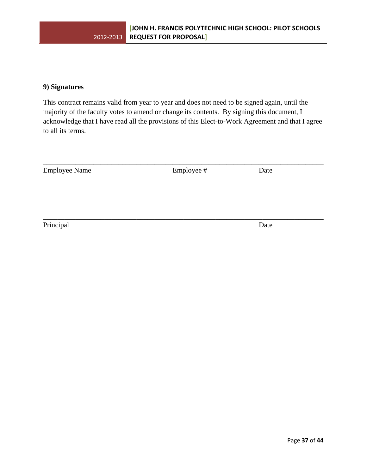## **9) Signatures**

This contract remains valid from year to year and does not need to be signed again, until the majority of the faculty votes to amend or change its contents. By signing this document, I acknowledge that I have read all the provisions of this Elect-to-Work Agreement and that I agree to all its terms.

| <b>Employee Name</b> | Employee # | Date |  |
|----------------------|------------|------|--|
|                      |            |      |  |
|                      |            |      |  |
|                      |            |      |  |

\_\_\_\_\_\_\_\_\_\_\_\_\_\_\_\_\_\_\_\_\_\_\_\_\_\_\_\_\_\_\_\_\_\_\_\_\_\_\_\_\_\_\_\_\_\_\_\_\_\_\_\_\_\_\_\_\_\_\_\_\_\_\_\_\_\_\_\_\_\_\_\_\_\_\_\_\_\_

Principal Date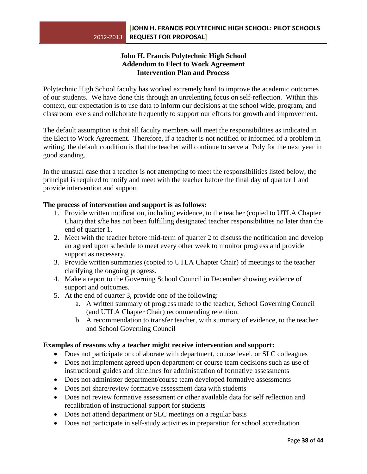## **John H. Francis Polytechnic High School Addendum to Elect to Work Agreement Intervention Plan and Process**

Polytechnic High School faculty has worked extremely hard to improve the academic outcomes of our students. We have done this through an unrelenting focus on self-reflection. Within this context, our expectation is to use data to inform our decisions at the school wide, program, and classroom levels and collaborate frequently to support our efforts for growth and improvement.

The default assumption is that all faculty members will meet the responsibilities as indicated in the Elect to Work Agreement. Therefore, if a teacher is not notified or informed of a problem in writing, the default condition is that the teacher will continue to serve at Poly for the next year in good standing.

In the unusual case that a teacher is not attempting to meet the responsibilities listed below, the principal is required to notify and meet with the teacher before the final day of quarter 1 and provide intervention and support.

## **The process of intervention and support is as follows:**

- 1. Provide written notification, including evidence, to the teacher (copied to UTLA Chapter Chair) that s/he has not been fulfilling designated teacher responsibilities no later than the end of quarter 1.
- 2. Meet with the teacher before mid-term of quarter 2 to discuss the notification and develop an agreed upon schedule to meet every other week to monitor progress and provide support as necessary.
- 3. Provide written summaries (copied to UTLA Chapter Chair) of meetings to the teacher clarifying the ongoing progress.
- 4. Make a report to the Governing School Council in December showing evidence of support and outcomes.
- 5. At the end of quarter 3, provide one of the following:
	- a. A written summary of progress made to the teacher, School Governing Council (and UTLA Chapter Chair) recommending retention.
	- b. A recommendation to transfer teacher, with summary of evidence, to the teacher and School Governing Council

## **Examples of reasons why a teacher might receive intervention and support:**

- Does not participate or collaborate with department, course level, or SLC colleagues
- Does not implement agreed upon department or course team decisions such as use of instructional guides and timelines for administration of formative assessments
- Does not administer department/course team developed formative assessments
- Does not share/review formative assessment data with students
- Does not review formative assessment or other available data for self reflection and recalibration of instructional support for students
- Does not attend department or SLC meetings on a regular basis
- Does not participate in self-study activities in preparation for school accreditation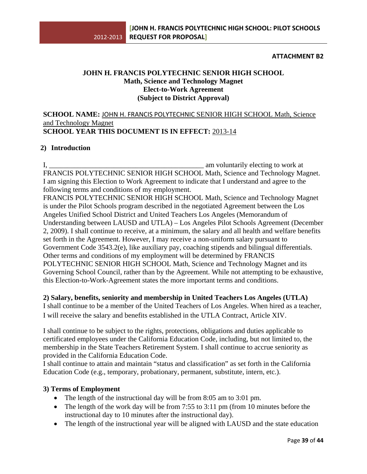## **ATTACHMENT B2**

## **JOHN H. FRANCIS POLYTECHNIC SENIOR HIGH SCHOOL Math, Science and Technology Magnet Elect-to-Work Agreement (Subject to District Approval)**

## **SCHOOL NAME:** JOHN H. FRANCIS POLYTECHNIC SENIOR HIGH SCHOOL Math, Science and Technology Magnet **SCHOOL YEAR THIS DOCUMENT IS IN EFFECT:** 2013-14

## **2) Introduction**

I, \_\_\_\_\_\_\_\_\_\_\_\_\_\_\_\_\_\_\_\_\_\_\_\_\_\_\_\_\_\_\_\_\_\_\_\_\_\_\_\_\_\_\_ am voluntarily electing to work at FRANCIS POLYTECHNIC SENIOR HIGH SCHOOL Math, Science and Technology Magnet. I am signing this Election to Work Agreement to indicate that I understand and agree to the following terms and conditions of my employment.

FRANCIS POLYTECHNIC SENIOR HIGH SCHOOL Math, Science and Technology Magnet is under the Pilot Schools program described in the negotiated Agreement between the Los Angeles Unified School District and United Teachers Los Angeles (Memorandum of Understanding between LAUSD and UTLA) – Los Angeles Pilot Schools Agreement (December 2, 2009). I shall continue to receive, at a minimum, the salary and all health and welfare benefits set forth in the Agreement. However, I may receive a non-uniform salary pursuant to Government Code 3543.2(e), like auxiliary pay, coaching stipends and bilingual differentials. Other terms and conditions of my employment will be determined by FRANCIS POLYTECHNIC SENIOR HIGH SCHOOL Math, Science and Technology Magnet and its Governing School Council, rather than by the Agreement. While not attempting to be exhaustive, this Election-to-Work-Agreement states the more important terms and conditions.

**2) Salary, benefits, seniority and membership in United Teachers Los Angeles (UTLA)** 

I shall continue to be a member of the United Teachers of Los Angeles. When hired as a teacher, I will receive the salary and benefits established in the UTLA Contract, Article XIV.

I shall continue to be subject to the rights, protections, obligations and duties applicable to certificated employees under the California Education Code, including, but not limited to, the membership in the State Teachers Retirement System. I shall continue to accrue seniority as provided in the California Education Code.

I shall continue to attain and maintain "status and classification" as set forth in the California Education Code (e.g., temporary, probationary, permanent, substitute, intern, etc.).

## **3) Terms of Employment**

- The length of the instructional day will be from 8:05 am to 3:01 pm.
- The length of the work day will be from 7:55 to 3:11 pm (from 10 minutes before the instructional day to 10 minutes after the instructional day).
- The length of the instructional year will be aligned with LAUSD and the state education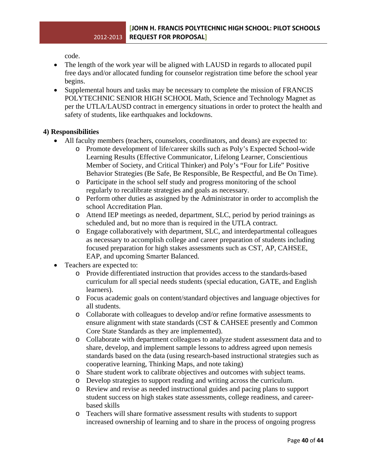code.

- The length of the work year will be aligned with LAUSD in regards to allocated pupil free days and/or allocated funding for counselor registration time before the school year begins.
- Supplemental hours and tasks may be necessary to complete the mission of FRANCIS POLYTECHNIC SENIOR HIGH SCHOOL Math, Science and Technology Magnet as per the UTLA/LAUSD contract in emergency situations in order to protect the health and safety of students, like earthquakes and lockdowns.

## **4) Responsibilities**

- All faculty members (teachers, counselors, coordinators, and deans) are expected to:
	- o Promote development of life/career skills such as Poly's Expected School-wide Learning Results (Effective Communicator, Lifelong Learner, Conscientious Member of Society, and Critical Thinker) and Poly's "Four for Life" Positive Behavior Strategies (Be Safe, Be Responsible, Be Respectful, and Be On Time).
	- o Participate in the school self study and progress monitoring of the school regularly to recalibrate strategies and goals as necessary.
	- o Perform other duties as assigned by the Administrator in order to accomplish the school Accreditation Plan.
	- o Attend IEP meetings as needed, department, SLC, period by period trainings as scheduled and, but no more than is required in the UTLA contract.
	- o Engage collaboratively with department, SLC, and interdepartmental colleagues as necessary to accomplish college and career preparation of students including focused preparation for high stakes assessments such as CST, AP, CAHSEE, EAP, and upcoming Smarter Balanced.
- Teachers are expected to:
	- o Provide differentiated instruction that provides access to the standards-based curriculum for all special needs students (special education, GATE, and English learners).
	- o Focus academic goals on content/standard objectives and language objectives for all students.
	- o Collaborate with colleagues to develop and/or refine formative assessments to ensure alignment with state standards (CST & CAHSEE presently and Common Core State Standards as they are implemented).
	- o Collaborate with department colleagues to analyze student assessment data and to share, develop, and implement sample lessons to address agreed upon nemesis standards based on the data (using research-based instructional strategies such as cooperative learning, Thinking Maps, and note taking)
	- o Share student work to calibrate objectives and outcomes with subject teams.
	- o Develop strategies to support reading and writing across the curriculum.
	- o Review and revise as needed instructional guides and pacing plans to support student success on high stakes state assessments, college readiness, and careerbased skills
	- o Teachers will share formative assessment results with students to support increased ownership of learning and to share in the process of ongoing progress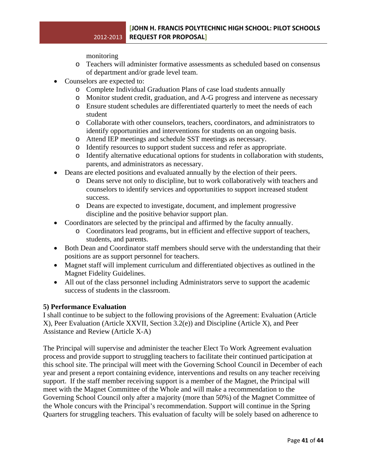monitoring

- o Teachers will administer formative assessments as scheduled based on consensus of department and/or grade level team.
- Counselors are expected to:
	- o Complete Individual Graduation Plans of case load students annually
	- o Monitor student credit, graduation, and A-G progress and intervene as necessary
	- o Ensure student schedules are differentiated quarterly to meet the needs of each student
	- o Collaborate with other counselors, teachers, coordinators, and administrators to identify opportunities and interventions for students on an ongoing basis.
	- o Attend IEP meetings and schedule SST meetings as necessary.
	- o Identify resources to support student success and refer as appropriate.
	- o Identify alternative educational options for students in collaboration with students, parents, and administrators as necessary.
- Deans are elected positions and evaluated annually by the election of their peers.
	- o Deans serve not only to discipline, but to work collaboratively with teachers and counselors to identify services and opportunities to support increased student success.
	- o Deans are expected to investigate, document, and implement progressive discipline and the positive behavior support plan.
- Coordinators are selected by the principal and affirmed by the faculty annually.
	- o Coordinators lead programs, but in efficient and effective support of teachers, students, and parents.
- Both Dean and Coordinator staff members should serve with the understanding that their positions are as support personnel for teachers.
- Magnet staff will implement curriculum and differentiated objectives as outlined in the Magnet Fidelity Guidelines.
- All out of the class personnel including Administrators serve to support the academic success of students in the classroom.

## **5) Performance Evaluation**

I shall continue to be subject to the following provisions of the Agreement: Evaluation (Article X), Peer Evaluation (Article XXVII, Section 3.2(e)) and Discipline (Article X), and Peer Assistance and Review (Article X-A)

The Principal will supervise and administer the teacher Elect To Work Agreement evaluation process and provide support to struggling teachers to facilitate their continued participation at this school site. The principal will meet with the Governing School Council in December of each year and present a report containing evidence, interventions and results on any teacher receiving support. If the staff member receiving support is a member of the Magnet, the Principal will meet with the Magnet Committee of the Whole and will make a recommendation to the Governing School Council only after a majority (more than 50%) of the Magnet Committee of the Whole concurs with the Principal's recommendation. Support will continue in the Spring Quarters for struggling teachers. This evaluation of faculty will be solely based on adherence to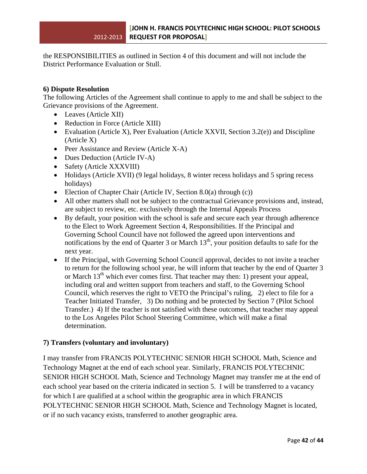the RESPONSIBILITIES as outlined in Section 4 of this document and will not include the District Performance Evaluation or Stull.

## **6) Dispute Resolution**

The following Articles of the Agreement shall continue to apply to me and shall be subject to the Grievance provisions of the Agreement.

- Leaves (Article XII)
- Reduction in Force (Article XIII)
- Evaluation (Article X), Peer Evaluation (Article XXVII, Section 3.2(e)) and Discipline (Article X)
- Peer Assistance and Review (Article X-A)
- Dues Deduction (Article IV-A)
- Safety (Article XXXVIII)
- Holidays (Article XVII) (9 legal holidays, 8 winter recess holidays and 5 spring recess holidays)
- Election of Chapter Chair (Article IV, Section 8.0(a) through (c))
- All other matters shall not be subject to the contractual Grievance provisions and, instead, are subject to review, etc. exclusively through the Internal Appeals Process
- By default, your position with the school is safe and secure each year through adherence to the Elect to Work Agreement Section 4, Responsibilities. If the Principal and Governing School Council have not followed the agreed upon interventions and notifications by the end of Quarter 3 or March  $13<sup>th</sup>$ , your position defaults to safe for the next year.
- If the Principal, with Governing School Council approval, decides to not invite a teacher to return for the following school year, he will inform that teacher by the end of Quarter 3 or March  $13<sup>th</sup>$  which ever comes first. That teacher may then: 1) present your appeal, including oral and written support from teachers and staff, to the Governing School Council, which reserves the right to VETO the Principal's ruling, 2) elect to file for a Teacher Initiated Transfer, 3) Do nothing and be protected by Section 7 (Pilot School Transfer.) 4) If the teacher is not satisfied with these outcomes, that teacher may appeal to the Los Angeles Pilot School Steering Committee, which will make a final determination.

## **7) Transfers (voluntary and involuntary)**

I may transfer from FRANCIS POLYTECHNIC SENIOR HIGH SCHOOL Math, Science and Technology Magnet at the end of each school year. Similarly, FRANCIS POLYTECHNIC SENIOR HIGH SCHOOL Math, Science and Technology Magnet may transfer me at the end of each school year based on the criteria indicated in section 5. I will be transferred to a vacancy for which I are qualified at a school within the geographic area in which FRANCIS POLYTECHNIC SENIOR HIGH SCHOOL Math, Science and Technology Magnet is located, or if no such vacancy exists, transferred to another geographic area.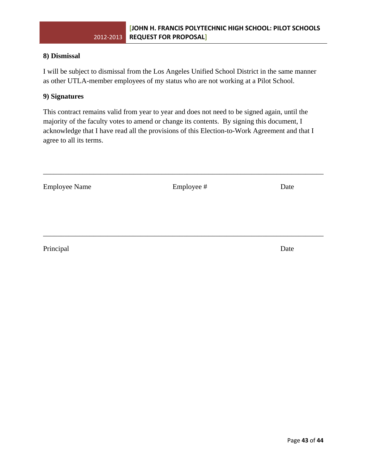## **8) Dismissal**

I will be subject to dismissal from the Los Angeles Unified School District in the same manner as other UTLA-member employees of my status who are not working at a Pilot School.

## **9) Signatures**

This contract remains valid from year to year and does not need to be signed again, until the majority of the faculty votes to amend or change its contents. By signing this document, I acknowledge that I have read all the provisions of this Election-to-Work Agreement and that I agree to all its terms.

Employee Name Employee # Date

\_\_\_\_\_\_\_\_\_\_\_\_\_\_\_\_\_\_\_\_\_\_\_\_\_\_\_\_\_\_\_\_\_\_\_\_\_\_\_\_\_\_\_\_\_\_\_\_\_\_\_\_\_\_\_\_\_\_\_\_\_\_\_\_\_\_\_\_\_\_\_\_\_\_\_\_\_\_

\_\_\_\_\_\_\_\_\_\_\_\_\_\_\_\_\_\_\_\_\_\_\_\_\_\_\_\_\_\_\_\_\_\_\_\_\_\_\_\_\_\_\_\_\_\_\_\_\_\_\_\_\_\_\_\_\_\_\_\_\_\_\_\_\_\_\_\_\_\_\_\_\_\_\_\_\_\_

Principal Date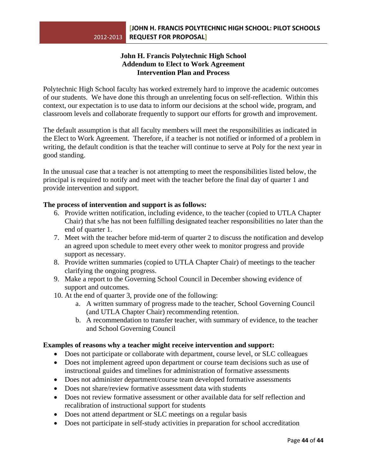## **John H. Francis Polytechnic High School Addendum to Elect to Work Agreement Intervention Plan and Process**

Polytechnic High School faculty has worked extremely hard to improve the academic outcomes of our students. We have done this through an unrelenting focus on self-reflection. Within this context, our expectation is to use data to inform our decisions at the school wide, program, and classroom levels and collaborate frequently to support our efforts for growth and improvement.

The default assumption is that all faculty members will meet the responsibilities as indicated in the Elect to Work Agreement. Therefore, if a teacher is not notified or informed of a problem in writing, the default condition is that the teacher will continue to serve at Poly for the next year in good standing.

In the unusual case that a teacher is not attempting to meet the responsibilities listed below, the principal is required to notify and meet with the teacher before the final day of quarter 1 and provide intervention and support.

## **The process of intervention and support is as follows:**

- 6. Provide written notification, including evidence, to the teacher (copied to UTLA Chapter Chair) that s/he has not been fulfilling designated teacher responsibilities no later than the end of quarter 1.
- 7. Meet with the teacher before mid-term of quarter 2 to discuss the notification and develop an agreed upon schedule to meet every other week to monitor progress and provide support as necessary.
- 8. Provide written summaries (copied to UTLA Chapter Chair) of meetings to the teacher clarifying the ongoing progress.
- 9. Make a report to the Governing School Council in December showing evidence of support and outcomes.
- 10. At the end of quarter 3, provide one of the following:
	- a. A written summary of progress made to the teacher, School Governing Council (and UTLA Chapter Chair) recommending retention.
	- b. A recommendation to transfer teacher, with summary of evidence, to the teacher and School Governing Council

## **Examples of reasons why a teacher might receive intervention and support:**

- Does not participate or collaborate with department, course level, or SLC colleagues
- Does not implement agreed upon department or course team decisions such as use of instructional guides and timelines for administration of formative assessments
- Does not administer department/course team developed formative assessments
- Does not share/review formative assessment data with students
- Does not review formative assessment or other available data for self reflection and recalibration of instructional support for students
- Does not attend department or SLC meetings on a regular basis
- Does not participate in self-study activities in preparation for school accreditation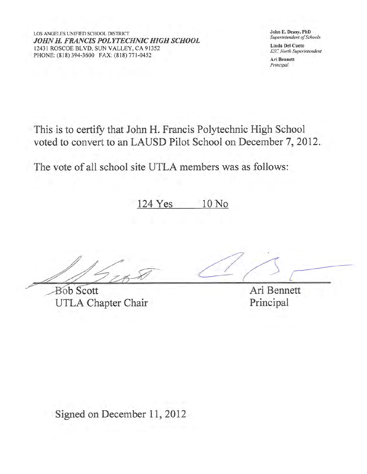LOS ANGELES UNIFIED SCHOOL DISTRICT JOHN H. FRANCIS POLYTECHNIC HIGH SCHOOL 12431 ROSCOE BLVD, SUN VALLEY, CA 91352 PHONE: (818) 394-3600 FAX: (818) 771-0452

John E. Deasy, PhD Superintendent of Schools

Linda Del Cueto **ESC North Superintendent** 

Ari Bennett Principal

This is to certify that John H. Francis Polytechnic High School voted to convert to an LAUSD Pilot School on December 7, 2012.

The vote of all school site UTLA members was as follows:

124 Yes 10 No

**Bob Scott** UTLA Chapter Chair

Ari Bennett Principal

Signed on December 11, 2012